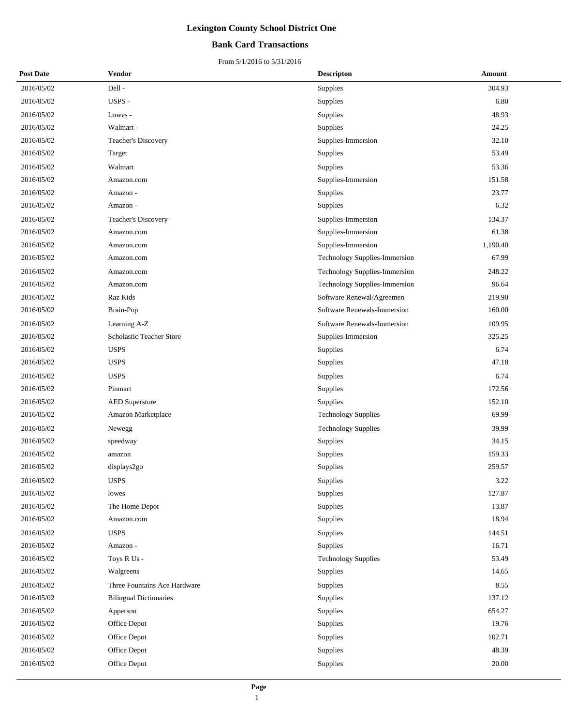### **Bank Card Transactions**

| <b>Post Date</b> | Vendor                        | <b>Descripton</b>             | Amount   |
|------------------|-------------------------------|-------------------------------|----------|
| 2016/05/02       | Dell-                         | Supplies                      | 304.93   |
| 2016/05/02       | USPS -                        | Supplies                      | 6.80     |
| 2016/05/02       | Lowes -                       | Supplies                      | 48.93    |
| 2016/05/02       | Walmart -                     | Supplies                      | 24.25    |
| 2016/05/02       | Teacher's Discovery           | Supplies-Immersion            | 32.10    |
| 2016/05/02       | Target                        | Supplies                      | 53.49    |
| 2016/05/02       | Walmart                       | Supplies                      | 53.36    |
| 2016/05/02       | Amazon.com                    | Supplies-Immersion            | 151.58   |
| 2016/05/02       | Amazon -                      | Supplies                      | 23.77    |
| 2016/05/02       | Amazon -                      | Supplies                      | 6.32     |
| 2016/05/02       | Teacher's Discovery           | Supplies-Immersion            | 134.37   |
| 2016/05/02       | Amazon.com                    | Supplies-Immersion            | 61.38    |
| 2016/05/02       | Amazon.com                    | Supplies-Immersion            | 1,190.40 |
| 2016/05/02       | Amazon.com                    | Technology Supplies-Immersion | 67.99    |
| 2016/05/02       | Amazon.com                    | Technology Supplies-Immersion | 248.22   |
| 2016/05/02       | Amazon.com                    | Technology Supplies-Immersion | 96.64    |
| 2016/05/02       | Raz Kids                      | Software Renewal/Agreemen     | 219.90   |
| 2016/05/02       | Brain-Pop                     | Software Renewals-Immersion   | 160.00   |
| 2016/05/02       | Learning A-Z                  | Software Renewals-Immersion   | 109.95   |
| 2016/05/02       | Scholastic Teacher Store      | Supplies-Immersion            | 325.25   |
| 2016/05/02       | <b>USPS</b>                   | Supplies                      | 6.74     |
| 2016/05/02       | <b>USPS</b>                   | Supplies                      | 47.18    |
| 2016/05/02       | <b>USPS</b>                   | Supplies                      | 6.74     |
| 2016/05/02       | Pinmart                       | Supplies                      | 172.56   |
| 2016/05/02       | <b>AED Superstore</b>         | Supplies                      | 152.10   |
| 2016/05/02       | Amazon Marketplace            | <b>Technology Supplies</b>    | 69.99    |
| 2016/05/02       | Newegg                        | <b>Technology Supplies</b>    | 39.99    |
| 2016/05/02       | speedway                      | Supplies                      | 34.15    |
| 2016/05/02       | amazon                        | Supplies                      | 159.33   |
| 2016/05/02       | displays2go                   | Supplies                      | 259.57   |
| 2016/05/02       | <b>USPS</b>                   | Supplies                      | 3.22     |
| 2016/05/02       | lowes                         | Supplies                      | 127.87   |
| 2016/05/02       | The Home Depot                | Supplies                      | 13.87    |
| 2016/05/02       | Amazon.com                    | Supplies                      | 18.94    |
| 2016/05/02       | <b>USPS</b>                   | Supplies                      | 144.51   |
| 2016/05/02       | Amazon -                      | Supplies                      | 16.71    |
| 2016/05/02       | Toys R Us -                   | <b>Technology Supplies</b>    | 53.49    |
| 2016/05/02       | Walgreens                     | Supplies                      | 14.65    |
| 2016/05/02       | Three Fountains Ace Hardware  | Supplies                      | 8.55     |
| 2016/05/02       | <b>Bilingual Dictionaries</b> | Supplies                      | 137.12   |
| 2016/05/02       | Apperson                      | Supplies                      | 654.27   |
| 2016/05/02       | Office Depot                  | Supplies                      | 19.76    |
| 2016/05/02       | Office Depot                  | Supplies                      | 102.71   |
| 2016/05/02       | Office Depot                  | Supplies                      | 48.39    |
| 2016/05/02       | Office Depot                  | Supplies                      | 20.00    |
|                  |                               |                               |          |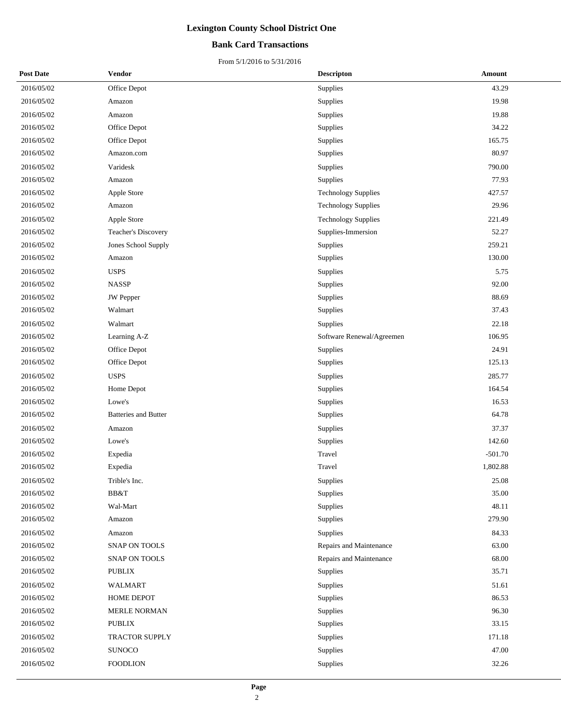#### **Bank Card Transactions**

| <b>Post Date</b> | Vendor                      | <b>Descripton</b>          | Amount    |
|------------------|-----------------------------|----------------------------|-----------|
| 2016/05/02       | Office Depot                | Supplies                   | 43.29     |
| 2016/05/02       | Amazon                      | Supplies                   | 19.98     |
| 2016/05/02       | Amazon                      | Supplies                   | 19.88     |
| 2016/05/02       | Office Depot                | Supplies                   | 34.22     |
| 2016/05/02       | Office Depot                | Supplies                   | 165.75    |
| 2016/05/02       | Amazon.com                  | Supplies                   | 80.97     |
| 2016/05/02       | Varidesk                    | Supplies                   | 790.00    |
| 2016/05/02       | Amazon                      | Supplies                   | 77.93     |
| 2016/05/02       | Apple Store                 | <b>Technology Supplies</b> | 427.57    |
| 2016/05/02       | Amazon                      | <b>Technology Supplies</b> | 29.96     |
| 2016/05/02       | Apple Store                 | <b>Technology Supplies</b> | 221.49    |
| 2016/05/02       | Teacher's Discovery         | Supplies-Immersion         | 52.27     |
| 2016/05/02       | Jones School Supply         | Supplies                   | 259.21    |
| 2016/05/02       | Amazon                      | Supplies                   | 130.00    |
| 2016/05/02       | <b>USPS</b>                 | Supplies                   | 5.75      |
| 2016/05/02       | <b>NASSP</b>                | Supplies                   | 92.00     |
| 2016/05/02       | <b>JW</b> Pepper            | Supplies                   | 88.69     |
| 2016/05/02       | Walmart                     | Supplies                   | 37.43     |
| 2016/05/02       | Walmart                     | Supplies                   | 22.18     |
| 2016/05/02       | Learning A-Z                | Software Renewal/Agreemen  | 106.95    |
| 2016/05/02       | Office Depot                | Supplies                   | 24.91     |
| 2016/05/02       | Office Depot                | Supplies                   | 125.13    |
| 2016/05/02       | <b>USPS</b>                 | Supplies                   | 285.77    |
| 2016/05/02       | Home Depot                  | Supplies                   | 164.54    |
| 2016/05/02       | Lowe's                      | Supplies                   | 16.53     |
| 2016/05/02       | <b>Batteries and Butter</b> | Supplies                   | 64.78     |
| 2016/05/02       | Amazon                      | Supplies                   | 37.37     |
| 2016/05/02       | Lowe's                      | Supplies                   | 142.60    |
| 2016/05/02       | Expedia                     | Travel                     | $-501.70$ |
| 2016/05/02       | Expedia                     | Travel                     | 1,802.88  |
| 2016/05/02       | Trible's Inc.               | Supplies                   | 25.08     |
| 2016/05/02       | BB&T                        | Supplies                   | 35.00     |
| 2016/05/02       | Wal-Mart                    | Supplies                   | 48.11     |
| 2016/05/02       | Amazon                      | Supplies                   | 279.90    |
| 2016/05/02       | Amazon                      | Supplies                   | 84.33     |
| 2016/05/02       | SNAP ON TOOLS               | Repairs and Maintenance    | 63.00     |
| 2016/05/02       | SNAP ON TOOLS               | Repairs and Maintenance    | 68.00     |
| 2016/05/02       | <b>PUBLIX</b>               | Supplies                   | 35.71     |
| 2016/05/02       | WALMART                     | Supplies                   | 51.61     |
| 2016/05/02       | HOME DEPOT                  | Supplies                   | 86.53     |
| 2016/05/02       | MERLE NORMAN                | Supplies                   | 96.30     |
| 2016/05/02       | <b>PUBLIX</b>               | Supplies                   | 33.15     |
| 2016/05/02       | TRACTOR SUPPLY              | Supplies                   | 171.18    |
| 2016/05/02       | <b>SUNOCO</b>               | Supplies                   | 47.00     |
| 2016/05/02       | <b>FOODLION</b>             | Supplies                   | 32.26     |
|                  |                             |                            |           |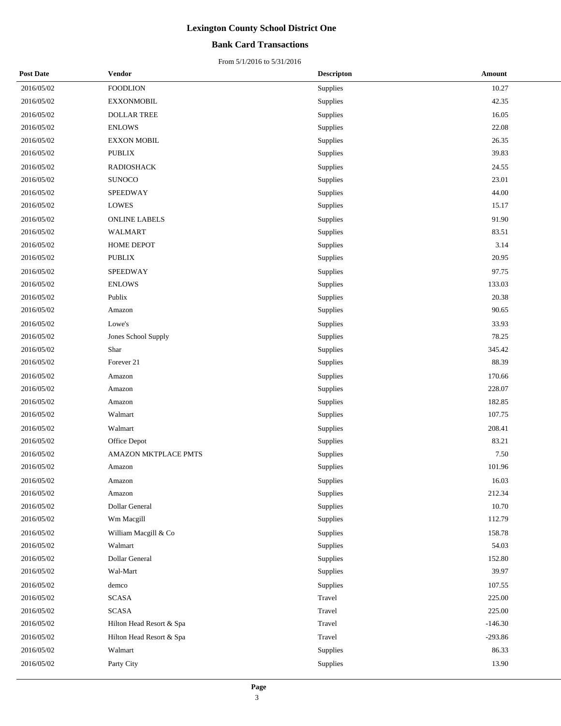### **Bank Card Transactions**

| <b>Post Date</b> | Vendor                   | <b>Descripton</b> | <b>Amount</b> |
|------------------|--------------------------|-------------------|---------------|
| 2016/05/02       | <b>FOODLION</b>          | Supplies          | 10.27         |
| 2016/05/02       | <b>EXXONMOBIL</b>        | Supplies          | 42.35         |
| 2016/05/02       | <b>DOLLAR TREE</b>       | Supplies          | 16.05         |
| 2016/05/02       | <b>ENLOWS</b>            | Supplies          | 22.08         |
| 2016/05/02       | <b>EXXON MOBIL</b>       | Supplies          | 26.35         |
| 2016/05/02       | <b>PUBLIX</b>            | Supplies          | 39.83         |
| 2016/05/02       | <b>RADIOSHACK</b>        | Supplies          | 24.55         |
| 2016/05/02       | <b>SUNOCO</b>            | Supplies          | 23.01         |
| 2016/05/02       | SPEEDWAY                 | Supplies          | 44.00         |
| 2016/05/02       | <b>LOWES</b>             | Supplies          | 15.17         |
| 2016/05/02       | <b>ONLINE LABELS</b>     | Supplies          | 91.90         |
| 2016/05/02       | <b>WALMART</b>           | Supplies          | 83.51         |
| 2016/05/02       | HOME DEPOT               | Supplies          | 3.14          |
| 2016/05/02       | <b>PUBLIX</b>            | Supplies          | 20.95         |
| 2016/05/02       | <b>SPEEDWAY</b>          | Supplies          | 97.75         |
| 2016/05/02       | <b>ENLOWS</b>            | Supplies          | 133.03        |
| 2016/05/02       | Publix                   | Supplies          | 20.38         |
| 2016/05/02       | Amazon                   | Supplies          | 90.65         |
| 2016/05/02       | Lowe's                   | Supplies          | 33.93         |
| 2016/05/02       | Jones School Supply      | Supplies          | 78.25         |
| 2016/05/02       | Shar                     | Supplies          | 345.42        |
| 2016/05/02       | Forever 21               | Supplies          | 88.39         |
| 2016/05/02       | Amazon                   | Supplies          | 170.66        |
| 2016/05/02       | Amazon                   | Supplies          | 228.07        |
| 2016/05/02       | Amazon                   | Supplies          | 182.85        |
| 2016/05/02       | Walmart                  | Supplies          | 107.75        |
| 2016/05/02       | Walmart                  | Supplies          | 208.41        |
| 2016/05/02       | Office Depot             | Supplies          | 83.21         |
| 2016/05/02       | AMAZON MKTPLACE PMTS     | Supplies          | 7.50          |
| 2016/05/02       | Amazon                   | Supplies          | 101.96        |
| 2016/05/02       | Amazon                   | Supplies          | 16.03         |
| 2016/05/02       | Amazon                   | Supplies          | 212.34        |
| 2016/05/02       | Dollar General           | Supplies          | 10.70         |
| 2016/05/02       | Wm Macgill               | Supplies          | 112.79        |
| 2016/05/02       | William Macgill & Co     | Supplies          | 158.78        |
| 2016/05/02       | Walmart                  | Supplies          | 54.03         |
| 2016/05/02       | Dollar General           | Supplies          | 152.80        |
| 2016/05/02       | Wal-Mart                 | Supplies          | 39.97         |
| 2016/05/02       | demco                    | Supplies          | 107.55        |
| 2016/05/02       | <b>SCASA</b>             | Travel            | 225.00        |
| 2016/05/02       | <b>SCASA</b>             | Travel            | 225.00        |
| 2016/05/02       | Hilton Head Resort & Spa | Travel            | $-146.30$     |
| 2016/05/02       | Hilton Head Resort & Spa | Travel            | $-293.86$     |
| 2016/05/02       | Walmart                  | Supplies          | 86.33         |
| 2016/05/02       | Party City               | Supplies          | 13.90         |
|                  |                          |                   |               |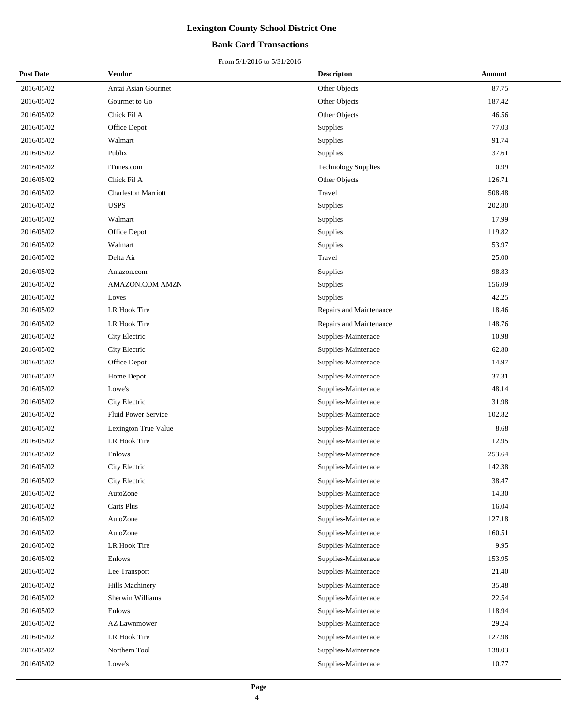### **Bank Card Transactions**

| <b>Post Date</b> | Vendor                     | <b>Descripton</b>          | Amount |
|------------------|----------------------------|----------------------------|--------|
| 2016/05/02       | Antai Asian Gourmet        | Other Objects              | 87.75  |
| 2016/05/02       | Gourmet to Go              | Other Objects              | 187.42 |
| 2016/05/02       | Chick Fil A                | Other Objects              | 46.56  |
| 2016/05/02       | Office Depot               | Supplies                   | 77.03  |
| 2016/05/02       | Walmart                    | Supplies                   | 91.74  |
| 2016/05/02       | Publix                     | Supplies                   | 37.61  |
| 2016/05/02       | iTunes.com                 | <b>Technology Supplies</b> | 0.99   |
| 2016/05/02       | Chick Fil A                | Other Objects              | 126.71 |
| 2016/05/02       | <b>Charleston Marriott</b> | Travel                     | 508.48 |
| 2016/05/02       | <b>USPS</b>                | Supplies                   | 202.80 |
| 2016/05/02       | Walmart                    | Supplies                   | 17.99  |
| 2016/05/02       | Office Depot               | Supplies                   | 119.82 |
| 2016/05/02       | Walmart                    | Supplies                   | 53.97  |
| 2016/05/02       | Delta Air                  | Travel                     | 25.00  |
| 2016/05/02       | Amazon.com                 | Supplies                   | 98.83  |
| 2016/05/02       | AMAZON.COM AMZN            | Supplies                   | 156.09 |
| 2016/05/02       | Loves                      | Supplies                   | 42.25  |
| 2016/05/02       | LR Hook Tire               | Repairs and Maintenance    | 18.46  |
| 2016/05/02       | LR Hook Tire               | Repairs and Maintenance    | 148.76 |
| 2016/05/02       | City Electric              | Supplies-Maintenace        | 10.98  |
| 2016/05/02       | City Electric              | Supplies-Maintenace        | 62.80  |
| 2016/05/02       | Office Depot               | Supplies-Maintenace        | 14.97  |
| 2016/05/02       | Home Depot                 | Supplies-Maintenace        | 37.31  |
| 2016/05/02       | Lowe's                     | Supplies-Maintenace        | 48.14  |
| 2016/05/02       | City Electric              | Supplies-Maintenace        | 31.98  |
| 2016/05/02       | Fluid Power Service        | Supplies-Maintenace        | 102.82 |
| 2016/05/02       | Lexington True Value       | Supplies-Maintenace        | 8.68   |
| 2016/05/02       | LR Hook Tire               | Supplies-Maintenace        | 12.95  |
| 2016/05/02       | Enlows                     | Supplies-Maintenace        | 253.64 |
| 2016/05/02       | City Electric              | Supplies-Maintenace        | 142.38 |
| 2016/05/02       | City Electric              | Supplies-Maintenace        | 38.47  |
| 2016/05/02       | AutoZone                   | Supplies-Maintenace        | 14.30  |
| 2016/05/02       | Carts Plus                 | Supplies-Maintenace        | 16.04  |
| 2016/05/02       | AutoZone                   | Supplies-Maintenace        | 127.18 |
| 2016/05/02       | AutoZone                   | Supplies-Maintenace        | 160.51 |
| 2016/05/02       | LR Hook Tire               | Supplies-Maintenace        | 9.95   |
| 2016/05/02       | Enlows                     | Supplies-Maintenace        | 153.95 |
| 2016/05/02       | Lee Transport              | Supplies-Maintenace        | 21.40  |
| 2016/05/02       | Hills Machinery            | Supplies-Maintenace        | 35.48  |
| 2016/05/02       | Sherwin Williams           | Supplies-Maintenace        | 22.54  |
| 2016/05/02       | Enlows                     | Supplies-Maintenace        | 118.94 |
| 2016/05/02       | <b>AZ Lawnmower</b>        | Supplies-Maintenace        | 29.24  |
| 2016/05/02       | LR Hook Tire               | Supplies-Maintenace        | 127.98 |
| 2016/05/02       | Northern Tool              | Supplies-Maintenace        | 138.03 |
| 2016/05/02       | Lowe's                     | Supplies-Maintenace        | 10.77  |
|                  |                            |                            |        |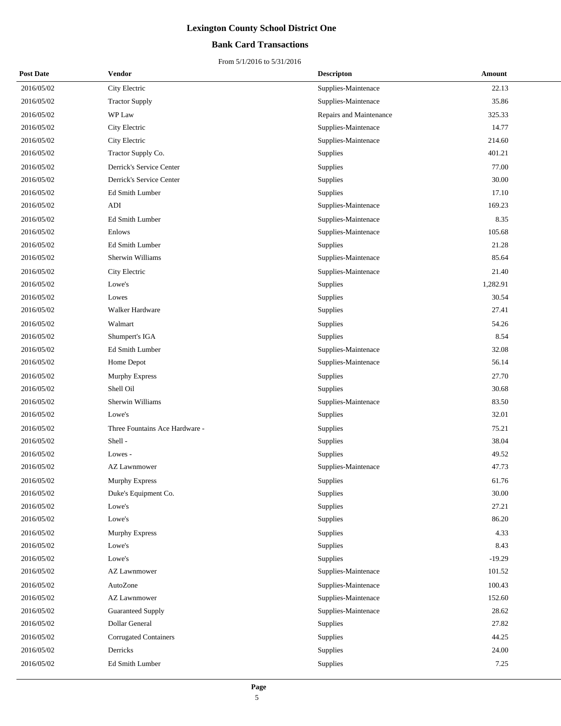### **Bank Card Transactions**

| <b>Post Date</b> | <b>Vendor</b>                  | <b>Descripton</b>       | Amount   |
|------------------|--------------------------------|-------------------------|----------|
| 2016/05/02       | City Electric                  | Supplies-Maintenace     | 22.13    |
| 2016/05/02       | <b>Tractor Supply</b>          | Supplies-Maintenace     | 35.86    |
| 2016/05/02       | WP Law                         | Repairs and Maintenance | 325.33   |
| 2016/05/02       | City Electric                  | Supplies-Maintenace     | 14.77    |
| 2016/05/02       | City Electric                  | Supplies-Maintenace     | 214.60   |
| 2016/05/02       | Tractor Supply Co.             | Supplies                | 401.21   |
| 2016/05/02       | Derrick's Service Center       | Supplies                | 77.00    |
| 2016/05/02       | Derrick's Service Center       | Supplies                | 30.00    |
| 2016/05/02       | Ed Smith Lumber                | Supplies                | 17.10    |
| 2016/05/02       | <b>ADI</b>                     | Supplies-Maintenace     | 169.23   |
| 2016/05/02       | Ed Smith Lumber                | Supplies-Maintenace     | 8.35     |
| 2016/05/02       | Enlows                         | Supplies-Maintenace     | 105.68   |
| 2016/05/02       | Ed Smith Lumber                | Supplies                | 21.28    |
| 2016/05/02       | Sherwin Williams               | Supplies-Maintenace     | 85.64    |
| 2016/05/02       | City Electric                  | Supplies-Maintenace     | 21.40    |
| 2016/05/02       | Lowe's                         | Supplies                | 1,282.91 |
| 2016/05/02       | Lowes                          | Supplies                | 30.54    |
| 2016/05/02       | Walker Hardware                | Supplies                | 27.41    |
| 2016/05/02       | Walmart                        | Supplies                | 54.26    |
| 2016/05/02       | Shumpert's IGA                 | Supplies                | 8.54     |
| 2016/05/02       | Ed Smith Lumber                | Supplies-Maintenace     | 32.08    |
| 2016/05/02       | Home Depot                     | Supplies-Maintenace     | 56.14    |
| 2016/05/02       | <b>Murphy Express</b>          | Supplies                | 27.70    |
| 2016/05/02       | Shell Oil                      | Supplies                | 30.68    |
| 2016/05/02       | Sherwin Williams               | Supplies-Maintenace     | 83.50    |
| 2016/05/02       | Lowe's                         | Supplies                | 32.01    |
| 2016/05/02       | Three Fountains Ace Hardware - | Supplies                | 75.21    |
| 2016/05/02       | Shell-                         | Supplies                | 38.04    |
| 2016/05/02       | Lowes -                        | Supplies                | 49.52    |
| 2016/05/02       | <b>AZ Lawnmower</b>            | Supplies-Maintenace     | 47.73    |
| 2016/05/02       | Murphy Express                 | Supplies                | 61.76    |
| 2016/05/02       | Duke's Equipment Co.           | Supplies                | 30.00    |
| 2016/05/02       | Lowe's                         | Supplies                | 27.21    |
| 2016/05/02       | Lowe's                         | Supplies                | 86.20    |
| 2016/05/02       | Murphy Express                 | Supplies                | 4.33     |
| 2016/05/02       | Lowe's                         | Supplies                | 8.43     |
| 2016/05/02       | Lowe's                         | Supplies                | $-19.29$ |
| 2016/05/02       | AZ Lawnmower                   | Supplies-Maintenace     | 101.52   |
| 2016/05/02       | AutoZone                       | Supplies-Maintenace     | 100.43   |
| 2016/05/02       | <b>AZ Lawnmower</b>            | Supplies-Maintenace     | 152.60   |
| 2016/05/02       | <b>Guaranteed Supply</b>       | Supplies-Maintenace     | 28.62    |
| 2016/05/02       | Dollar General                 | Supplies                | 27.82    |
| 2016/05/02       | Corrugated Containers          | Supplies                | 44.25    |
| 2016/05/02       | Derricks                       | Supplies                | 24.00    |
| 2016/05/02       | Ed Smith Lumber                | Supplies                | 7.25     |
|                  |                                |                         |          |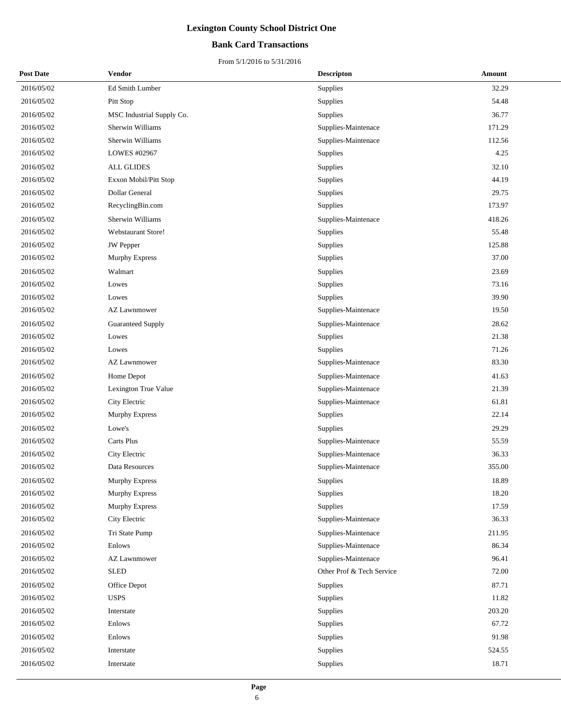### **Bank Card Transactions**

| <b>Post Date</b> | Vendor                                    | <b>Descripton</b>         | Amount |
|------------------|-------------------------------------------|---------------------------|--------|
| 2016/05/02       | Ed Smith Lumber                           | <b>Supplies</b>           | 32.29  |
| 2016/05/02       | Pitt Stop                                 | Supplies                  | 54.48  |
| 2016/05/02       | MSC Industrial Supply Co.                 | Supplies                  | 36.77  |
| 2016/05/02       | Sherwin Williams                          | Supplies-Maintenace       | 171.29 |
| 2016/05/02       | Sherwin Williams                          | Supplies-Maintenace       | 112.56 |
| 2016/05/02       | LOWES #02967                              | Supplies                  | 4.25   |
| 2016/05/02       | <b>ALL GLIDES</b>                         | Supplies                  | 32.10  |
| 2016/05/02       | Exxon Mobil/Pitt Stop                     | Supplies                  | 44.19  |
| 2016/05/02       | Dollar General                            | Supplies                  | 29.75  |
| 2016/05/02       | RecyclingBin.com                          | Supplies                  | 173.97 |
| 2016/05/02       | Sherwin Williams                          | Supplies-Maintenace       | 418.26 |
| 2016/05/02       | <b>Webstaurant Store!</b>                 | Supplies                  | 55.48  |
| 2016/05/02       | JW Pepper                                 | Supplies                  | 125.88 |
| 2016/05/02       | <b>Murphy Express</b>                     | Supplies                  | 37.00  |
| 2016/05/02       | Walmart                                   | Supplies                  | 23.69  |
| 2016/05/02       | Lowes                                     | Supplies                  | 73.16  |
| 2016/05/02       | Lowes                                     | Supplies                  | 39.90  |
| 2016/05/02       | <b>AZ Lawnmower</b>                       | Supplies-Maintenace       | 19.50  |
| 2016/05/02       | <b>Guaranteed Supply</b>                  | Supplies-Maintenace       | 28.62  |
| 2016/05/02       | Lowes                                     | Supplies                  | 21.38  |
| 2016/05/02       | Lowes                                     | Supplies                  | 71.26  |
| 2016/05/02       | <b>AZ Lawnmower</b>                       | Supplies-Maintenace       | 83.30  |
| 2016/05/02       | Home Depot                                | Supplies-Maintenace       | 41.63  |
| 2016/05/02       | Lexington True Value                      | Supplies-Maintenace       | 21.39  |
| 2016/05/02       | City Electric                             | Supplies-Maintenace       | 61.81  |
| 2016/05/02       | <b>Murphy Express</b>                     | Supplies                  | 22.14  |
| 2016/05/02       | Lowe's                                    | Supplies                  | 29.29  |
| 2016/05/02       | Carts Plus                                | Supplies-Maintenace       | 55.59  |
| 2016/05/02       | City Electric                             | Supplies-Maintenace       | 36.33  |
| 2016/05/02       | Data Resources                            | Supplies-Maintenace       | 355.00 |
| 2016/05/02       | Murphy Express                            | Supplies                  | 18.89  |
| 2016/05/02       | <b>Murphy Express</b>                     | Supplies                  | 18.20  |
| 2016/05/02       | <b>Murphy Express</b>                     | Supplies                  | 17.59  |
| 2016/05/02       | City Electric                             | Supplies-Maintenace       | 36.33  |
| 2016/05/02       | Tri State Pump                            | Supplies-Maintenace       | 211.95 |
| 2016/05/02       | Enlows                                    | Supplies-Maintenace       | 86.34  |
| 2016/05/02       | AZ Lawnmower                              | Supplies-Maintenace       | 96.41  |
| 2016/05/02       | <b>SLED</b>                               | Other Prof & Tech Service | 72.00  |
| 2016/05/02       | Office Depot                              | Supplies                  | 87.71  |
| 2016/05/02       | <b>USPS</b>                               | Supplies                  | 11.82  |
| 2016/05/02       | $\label{eq:intractate} {\rm Inter state}$ | Supplies                  | 203.20 |
| 2016/05/02       | Enlows                                    | Supplies                  | 67.72  |
| 2016/05/02       | Enlows                                    | Supplies                  | 91.98  |
| 2016/05/02       | Interstate                                | Supplies                  | 524.55 |
| 2016/05/02       | Interstate                                | Supplies                  | 18.71  |
|                  |                                           |                           |        |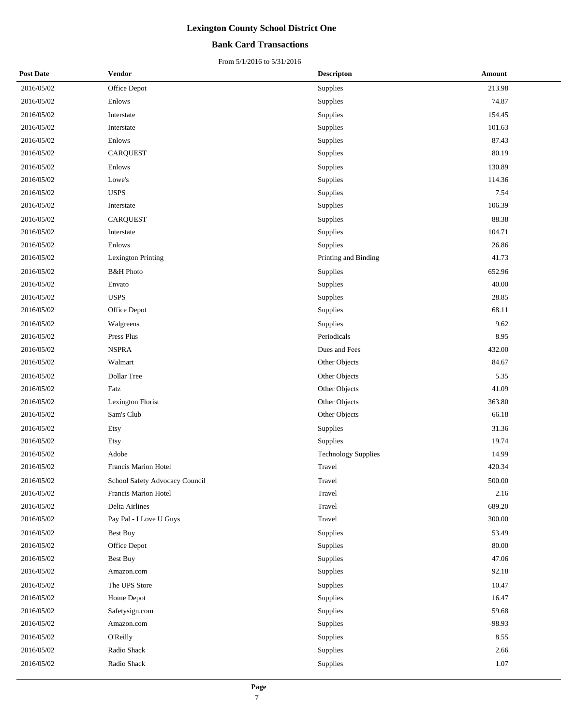### **Bank Card Transactions**

| <b>Post Date</b> | Vendor                         | <b>Descripton</b>          | Amount   |
|------------------|--------------------------------|----------------------------|----------|
| 2016/05/02       | Office Depot                   | Supplies                   | 213.98   |
| 2016/05/02       | Enlows                         | Supplies                   | 74.87    |
| 2016/05/02       | Interstate                     | Supplies                   | 154.45   |
| 2016/05/02       | Interstate                     | Supplies                   | 101.63   |
| 2016/05/02       | Enlows                         | Supplies                   | 87.43    |
| 2016/05/02       | <b>CARQUEST</b>                | Supplies                   | 80.19    |
| 2016/05/02       | Enlows                         | Supplies                   | 130.89   |
| 2016/05/02       | Lowe's                         | Supplies                   | 114.36   |
| 2016/05/02       | <b>USPS</b>                    | Supplies                   | 7.54     |
| 2016/05/02       | Interstate                     | Supplies                   | 106.39   |
| 2016/05/02       | <b>CARQUEST</b>                | Supplies                   | 88.38    |
| 2016/05/02       | Interstate                     | Supplies                   | 104.71   |
| 2016/05/02       | Enlows                         | Supplies                   | 26.86    |
| 2016/05/02       | <b>Lexington Printing</b>      | Printing and Binding       | 41.73    |
| 2016/05/02       | <b>B&amp;H</b> Photo           | Supplies                   | 652.96   |
| 2016/05/02       | Envato                         | Supplies                   | 40.00    |
| 2016/05/02       | <b>USPS</b>                    | Supplies                   | 28.85    |
| 2016/05/02       | Office Depot                   | Supplies                   | 68.11    |
| 2016/05/02       | Walgreens                      | Supplies                   | 9.62     |
| 2016/05/02       | Press Plus                     | Periodicals                | 8.95     |
| 2016/05/02       | <b>NSPRA</b>                   | Dues and Fees              | 432.00   |
| 2016/05/02       | Walmart                        | Other Objects              | 84.67    |
| 2016/05/02       | Dollar Tree                    | Other Objects              | 5.35     |
| 2016/05/02       | Fatz                           | Other Objects              | 41.09    |
| 2016/05/02       | Lexington Florist              | Other Objects              | 363.80   |
| 2016/05/02       | Sam's Club                     | Other Objects              | 66.18    |
| 2016/05/02       | Etsy                           | Supplies                   | 31.36    |
| 2016/05/02       | Etsy                           | Supplies                   | 19.74    |
| 2016/05/02       | Adobe                          | <b>Technology Supplies</b> | 14.99    |
| 2016/05/02       | Francis Marion Hotel           | Travel                     | 420.34   |
| 2016/05/02       | School Safety Advocacy Council | Travel                     | 500.00   |
| 2016/05/02       | Francis Marion Hotel           | Travel                     | 2.16     |
| 2016/05/02       | Delta Airlines                 | Travel                     | 689.20   |
| 2016/05/02       | Pay Pal - I Love U Guys        | Travel                     | 300.00   |
| 2016/05/02       | Best Buy                       | Supplies                   | 53.49    |
| 2016/05/02       | Office Depot                   | Supplies                   | 80.00    |
| 2016/05/02       | Best Buy                       | Supplies                   | 47.06    |
| 2016/05/02       | Amazon.com                     | Supplies                   | 92.18    |
| 2016/05/02       | The UPS Store                  | Supplies                   | 10.47    |
| 2016/05/02       | Home Depot                     | Supplies                   | 16.47    |
| 2016/05/02       | Safetysign.com                 | Supplies                   | 59.68    |
| 2016/05/02       | Amazon.com                     | Supplies                   | $-98.93$ |
| 2016/05/02       | <b>O'Reilly</b>                | Supplies                   | 8.55     |
| 2016/05/02       | Radio Shack                    | Supplies                   | 2.66     |
| 2016/05/02       | Radio Shack                    | Supplies                   | 1.07     |
|                  |                                |                            |          |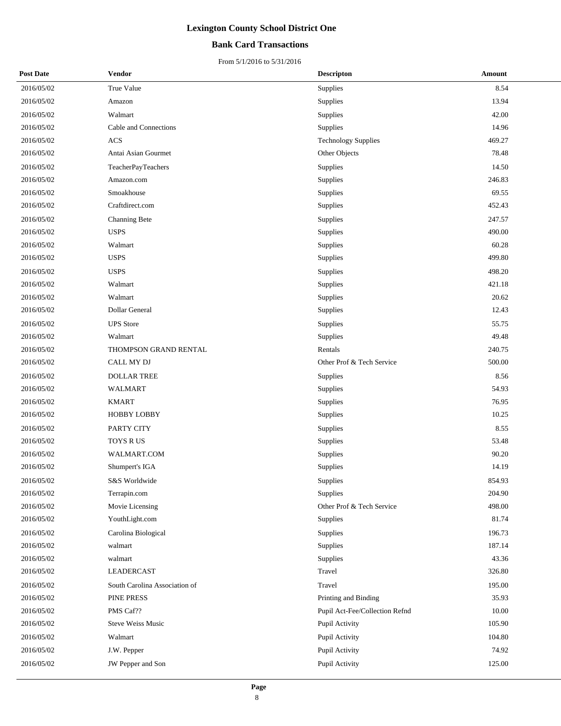### **Bank Card Transactions**

| <b>Post Date</b> | Vendor                        | <b>Descripton</b>              | Amount |
|------------------|-------------------------------|--------------------------------|--------|
| 2016/05/02       | True Value                    | Supplies                       | 8.54   |
| 2016/05/02       | Amazon                        | Supplies                       | 13.94  |
| 2016/05/02       | Walmart                       | Supplies                       | 42.00  |
| 2016/05/02       | Cable and Connections         | Supplies                       | 14.96  |
| 2016/05/02       | $\rm ACS$                     | <b>Technology Supplies</b>     | 469.27 |
| 2016/05/02       | Antai Asian Gourmet           | Other Objects                  | 78.48  |
| 2016/05/02       | TeacherPayTeachers            | Supplies                       | 14.50  |
| 2016/05/02       | Amazon.com                    | Supplies                       | 246.83 |
| 2016/05/02       | Smoakhouse                    | Supplies                       | 69.55  |
| 2016/05/02       | Craftdirect.com               | Supplies                       | 452.43 |
| 2016/05/02       | Channing Bete                 | Supplies                       | 247.57 |
| 2016/05/02       | <b>USPS</b>                   | Supplies                       | 490.00 |
| 2016/05/02       | Walmart                       | Supplies                       | 60.28  |
| 2016/05/02       | <b>USPS</b>                   | Supplies                       | 499.80 |
| 2016/05/02       | <b>USPS</b>                   | Supplies                       | 498.20 |
| 2016/05/02       | Walmart                       | Supplies                       | 421.18 |
| 2016/05/02       | Walmart                       | Supplies                       | 20.62  |
| 2016/05/02       | Dollar General                | Supplies                       | 12.43  |
| 2016/05/02       | <b>UPS</b> Store              | Supplies                       | 55.75  |
| 2016/05/02       | Walmart                       | Supplies                       | 49.48  |
| 2016/05/02       | THOMPSON GRAND RENTAL         | Rentals                        | 240.75 |
| 2016/05/02       | CALL MY DJ                    | Other Prof & Tech Service      | 500.00 |
| 2016/05/02       | <b>DOLLAR TREE</b>            | Supplies                       | 8.56   |
| 2016/05/02       | WALMART                       | Supplies                       | 54.93  |
| 2016/05/02       | <b>KMART</b>                  | Supplies                       | 76.95  |
| 2016/05/02       | <b>HOBBY LOBBY</b>            | Supplies                       | 10.25  |
| 2016/05/02       | PARTY CITY                    | Supplies                       | 8.55   |
| 2016/05/02       | TOYS RUS                      | Supplies                       | 53.48  |
| 2016/05/02       | WALMART.COM                   | Supplies                       | 90.20  |
| 2016/05/02       | Shumpert's IGA                | Supplies                       | 14.19  |
| 2016/05/02       | S&S Worldwide                 | Supplies                       | 854.93 |
| 2016/05/02       | Terrapin.com                  | Supplies                       | 204.90 |
| 2016/05/02       | Movie Licensing               | Other Prof & Tech Service      | 498.00 |
| 2016/05/02       | YouthLight.com                | Supplies                       | 81.74  |
| 2016/05/02       | Carolina Biological           | Supplies                       | 196.73 |
| 2016/05/02       | walmart                       | Supplies                       | 187.14 |
| 2016/05/02       | walmart                       | Supplies                       | 43.36  |
| 2016/05/02       | LEADERCAST                    | Travel                         | 326.80 |
| 2016/05/02       | South Carolina Association of | Travel                         | 195.00 |
| 2016/05/02       | PINE PRESS                    | Printing and Binding           | 35.93  |
| 2016/05/02       | PMS Caf??                     | Pupil Act-Fee/Collection Refnd | 10.00  |
| 2016/05/02       | Steve Weiss Music             | Pupil Activity                 | 105.90 |
| 2016/05/02       | Walmart                       | Pupil Activity                 | 104.80 |
| 2016/05/02       | J.W. Pepper                   | Pupil Activity                 | 74.92  |
| 2016/05/02       | JW Pepper and Son             | Pupil Activity                 | 125.00 |
|                  |                               |                                |        |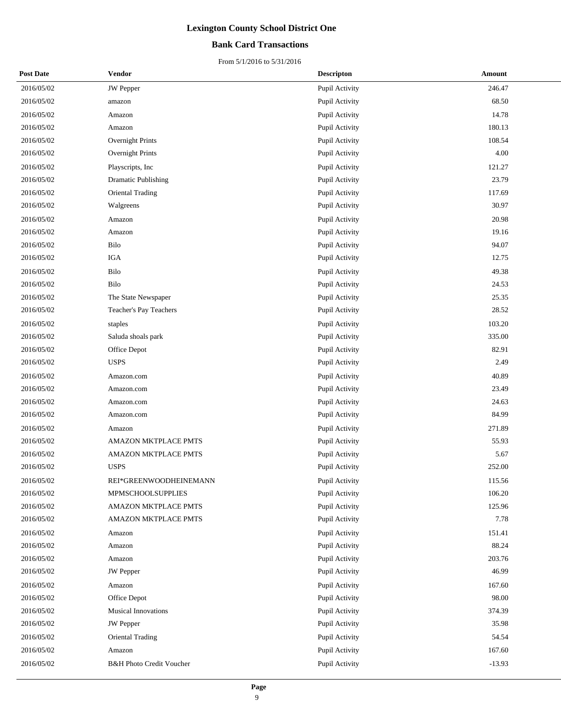### **Bank Card Transactions**

| <b>Post Date</b> | <b>Vendor</b>                       | <b>Descripton</b> | Amount   |
|------------------|-------------------------------------|-------------------|----------|
| 2016/05/02       | <b>JW</b> Pepper                    | Pupil Activity    | 246.47   |
| 2016/05/02       | amazon                              | Pupil Activity    | 68.50    |
| 2016/05/02       | Amazon                              | Pupil Activity    | 14.78    |
| 2016/05/02       | Amazon                              | Pupil Activity    | 180.13   |
| 2016/05/02       | Overnight Prints                    | Pupil Activity    | 108.54   |
| 2016/05/02       | Overnight Prints                    | Pupil Activity    | 4.00     |
| 2016/05/02       | Playscripts, Inc                    | Pupil Activity    | 121.27   |
| 2016/05/02       | Dramatic Publishing                 | Pupil Activity    | 23.79    |
| 2016/05/02       | Oriental Trading                    | Pupil Activity    | 117.69   |
| 2016/05/02       | Walgreens                           | Pupil Activity    | 30.97    |
| 2016/05/02       | Amazon                              | Pupil Activity    | 20.98    |
| 2016/05/02       | Amazon                              | Pupil Activity    | 19.16    |
| 2016/05/02       | Bilo                                | Pupil Activity    | 94.07    |
| 2016/05/02       | <b>IGA</b>                          | Pupil Activity    | 12.75    |
| 2016/05/02       | Bilo                                | Pupil Activity    | 49.38    |
| 2016/05/02       | Bilo                                | Pupil Activity    | 24.53    |
| 2016/05/02       | The State Newspaper                 | Pupil Activity    | 25.35    |
| 2016/05/02       | Teacher's Pay Teachers              | Pupil Activity    | 28.52    |
| 2016/05/02       | staples                             | Pupil Activity    | 103.20   |
| 2016/05/02       | Saluda shoals park                  | Pupil Activity    | 335.00   |
| 2016/05/02       | Office Depot                        | Pupil Activity    | 82.91    |
| 2016/05/02       | <b>USPS</b>                         | Pupil Activity    | 2.49     |
| 2016/05/02       | Amazon.com                          | Pupil Activity    | 40.89    |
| 2016/05/02       | Amazon.com                          | Pupil Activity    | 23.49    |
| 2016/05/02       | Amazon.com                          | Pupil Activity    | 24.63    |
| 2016/05/02       | Amazon.com                          | Pupil Activity    | 84.99    |
| 2016/05/02       | Amazon                              | Pupil Activity    | 271.89   |
| 2016/05/02       | AMAZON MKTPLACE PMTS                | Pupil Activity    | 55.93    |
| 2016/05/02       | <b>AMAZON MKTPLACE PMTS</b>         | Pupil Activity    | 5.67     |
| 2016/05/02       | <b>USPS</b>                         | Pupil Activity    | 252.00   |
| 2016/05/02       | REI*GREENWOODHEINEMANN              | Pupil Activity    | 115.56   |
| 2016/05/02       | MPMSCHOOLSUPPLIES                   | Pupil Activity    | 106.20   |
| 2016/05/02       | AMAZON MKTPLACE PMTS                | Pupil Activity    | 125.96   |
| 2016/05/02       | <b>AMAZON MKTPLACE PMTS</b>         | Pupil Activity    | 7.78     |
| 2016/05/02       | Amazon                              | Pupil Activity    | 151.41   |
| 2016/05/02       | Amazon                              | Pupil Activity    | 88.24    |
| 2016/05/02       | Amazon                              | Pupil Activity    | 203.76   |
| 2016/05/02       | <b>JW</b> Pepper                    | Pupil Activity    | 46.99    |
| 2016/05/02       | Amazon                              | Pupil Activity    | 167.60   |
| 2016/05/02       | Office Depot                        | Pupil Activity    | 98.00    |
| 2016/05/02       | <b>Musical Innovations</b>          | Pupil Activity    | 374.39   |
| 2016/05/02       | JW Pepper                           | Pupil Activity    | 35.98    |
| 2016/05/02       | Oriental Trading                    | Pupil Activity    | 54.54    |
| 2016/05/02       | Amazon                              | Pupil Activity    | 167.60   |
| 2016/05/02       | <b>B&amp;H Photo Credit Voucher</b> | Pupil Activity    | $-13.93$ |
|                  |                                     |                   |          |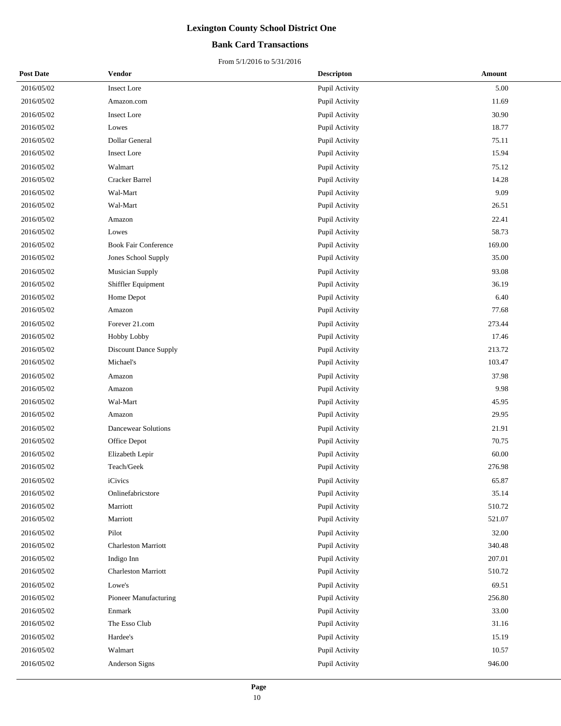### **Bank Card Transactions**

| <b>Post Date</b> | Vendor                       | <b>Descripton</b> | Amount |
|------------------|------------------------------|-------------------|--------|
| 2016/05/02       | <b>Insect Lore</b>           | Pupil Activity    | 5.00   |
| 2016/05/02       | Amazon.com                   | Pupil Activity    | 11.69  |
| 2016/05/02       | <b>Insect Lore</b>           | Pupil Activity    | 30.90  |
| 2016/05/02       | Lowes                        | Pupil Activity    | 18.77  |
| 2016/05/02       | Dollar General               | Pupil Activity    | 75.11  |
| 2016/05/02       | <b>Insect Lore</b>           | Pupil Activity    | 15.94  |
| 2016/05/02       | Walmart                      | Pupil Activity    | 75.12  |
| 2016/05/02       | Cracker Barrel               | Pupil Activity    | 14.28  |
| 2016/05/02       | Wal-Mart                     | Pupil Activity    | 9.09   |
| 2016/05/02       | Wal-Mart                     | Pupil Activity    | 26.51  |
| 2016/05/02       | Amazon                       | Pupil Activity    | 22.41  |
| 2016/05/02       | Lowes                        | Pupil Activity    | 58.73  |
| 2016/05/02       | <b>Book Fair Conference</b>  | Pupil Activity    | 169.00 |
| 2016/05/02       | Jones School Supply          | Pupil Activity    | 35.00  |
| 2016/05/02       | <b>Musician Supply</b>       | Pupil Activity    | 93.08  |
| 2016/05/02       | Shiffler Equipment           | Pupil Activity    | 36.19  |
| 2016/05/02       | Home Depot                   | Pupil Activity    | 6.40   |
| 2016/05/02       | Amazon                       | Pupil Activity    | 77.68  |
| 2016/05/02       | Forever 21.com               | Pupil Activity    | 273.44 |
| 2016/05/02       | Hobby Lobby                  | Pupil Activity    | 17.46  |
| 2016/05/02       | <b>Discount Dance Supply</b> | Pupil Activity    | 213.72 |
| 2016/05/02       | Michael's                    | Pupil Activity    | 103.47 |
| 2016/05/02       | Amazon                       | Pupil Activity    | 37.98  |
| 2016/05/02       | Amazon                       | Pupil Activity    | 9.98   |
| 2016/05/02       | Wal-Mart                     | Pupil Activity    | 45.95  |
| 2016/05/02       | Amazon                       | Pupil Activity    | 29.95  |
| 2016/05/02       | <b>Dancewear Solutions</b>   | Pupil Activity    | 21.91  |
| 2016/05/02       | Office Depot                 | Pupil Activity    | 70.75  |
| 2016/05/02       | Elizabeth Lepir              | Pupil Activity    | 60.00  |
| 2016/05/02       | Teach/Geek                   | Pupil Activity    | 276.98 |
| 2016/05/02       | iCivics                      | Pupil Activity    | 65.87  |
| 2016/05/02       | Onlinefabricstore            | Pupil Activity    | 35.14  |
| 2016/05/02       | Marriott                     | Pupil Activity    | 510.72 |
| 2016/05/02       | Marriott                     | Pupil Activity    | 521.07 |
| 2016/05/02       | Pilot                        | Pupil Activity    | 32.00  |
| 2016/05/02       | <b>Charleston Marriott</b>   | Pupil Activity    | 340.48 |
| 2016/05/02       | Indigo Inn                   | Pupil Activity    | 207.01 |
| 2016/05/02       | <b>Charleston Marriott</b>   | Pupil Activity    | 510.72 |
| 2016/05/02       | Lowe's                       | Pupil Activity    | 69.51  |
| 2016/05/02       | Pioneer Manufacturing        | Pupil Activity    | 256.80 |
| 2016/05/02       | Enmark                       | Pupil Activity    | 33.00  |
| 2016/05/02       | The Esso Club                | Pupil Activity    | 31.16  |
| 2016/05/02       | Hardee's                     | Pupil Activity    | 15.19  |
| 2016/05/02       | Walmart                      | Pupil Activity    | 10.57  |
| 2016/05/02       | Anderson Signs               | Pupil Activity    | 946.00 |
|                  |                              |                   |        |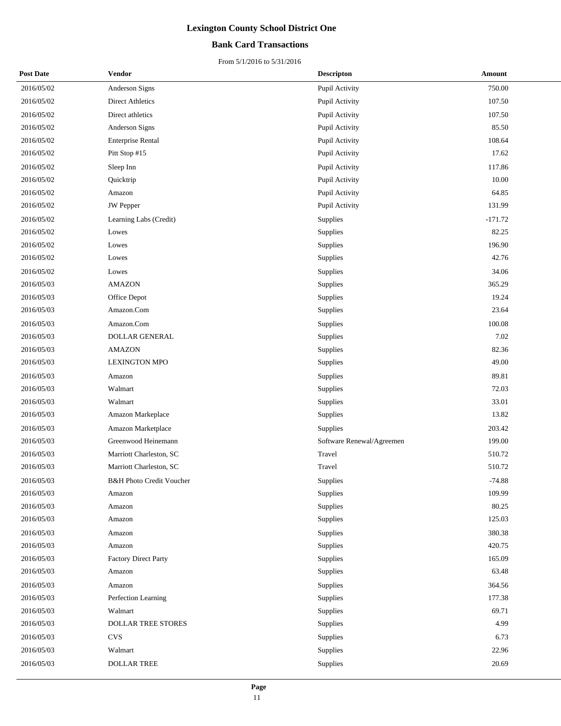### **Bank Card Transactions**

| <b>Post Date</b> | Vendor                              | <b>Descripton</b>         | Amount    |
|------------------|-------------------------------------|---------------------------|-----------|
| 2016/05/02       | Anderson Signs                      | Pupil Activity            | 750.00    |
| 2016/05/02       | <b>Direct Athletics</b>             | Pupil Activity            | 107.50    |
| 2016/05/02       | Direct athletics                    | Pupil Activity            | 107.50    |
| 2016/05/02       | Anderson Signs                      | Pupil Activity            | 85.50     |
| 2016/05/02       | <b>Enterprise Rental</b>            | Pupil Activity            | 108.64    |
| 2016/05/02       | Pitt Stop #15                       | Pupil Activity            | 17.62     |
| 2016/05/02       | Sleep Inn                           | Pupil Activity            | 117.86    |
| 2016/05/02       | Quicktrip                           | Pupil Activity            | 10.00     |
| 2016/05/02       | Amazon                              | Pupil Activity            | 64.85     |
| 2016/05/02       | JW Pepper                           | Pupil Activity            | 131.99    |
| 2016/05/02       | Learning Labs (Credit)              | Supplies                  | $-171.72$ |
| 2016/05/02       | Lowes                               | Supplies                  | 82.25     |
| 2016/05/02       | Lowes                               | Supplies                  | 196.90    |
| 2016/05/02       | Lowes                               | Supplies                  | 42.76     |
| 2016/05/02       | Lowes                               | Supplies                  | 34.06     |
| 2016/05/03       | <b>AMAZON</b>                       | Supplies                  | 365.29    |
| 2016/05/03       | Office Depot                        | Supplies                  | 19.24     |
| 2016/05/03       | Amazon.Com                          | Supplies                  | 23.64     |
| 2016/05/03       | Amazon.Com                          | Supplies                  | 100.08    |
| 2016/05/03       | <b>DOLLAR GENERAL</b>               | Supplies                  | 7.02      |
| 2016/05/03       | <b>AMAZON</b>                       | Supplies                  | 82.36     |
| 2016/05/03       | <b>LEXINGTON MPO</b>                | Supplies                  | 49.00     |
| 2016/05/03       | Amazon                              | Supplies                  | 89.81     |
| 2016/05/03       | Walmart                             | Supplies                  | 72.03     |
| 2016/05/03       | Walmart                             | Supplies                  | 33.01     |
| 2016/05/03       | Amazon Markeplace                   | Supplies                  | 13.82     |
| 2016/05/03       | Amazon Marketplace                  | Supplies                  | 203.42    |
| 2016/05/03       | Greenwood Heinemann                 | Software Renewal/Agreemen | 199.00    |
| 2016/05/03       | Marriott Charleston, SC             | Travel                    | 510.72    |
| 2016/05/03       | Marriott Charleston, SC             | Travel                    | 510.72    |
| 2016/05/03       | <b>B&amp;H Photo Credit Voucher</b> | Supplies                  | $-74.88$  |
| 2016/05/03       | Amazon                              | Supplies                  | 109.99    |
| 2016/05/03       | Amazon                              | Supplies                  | 80.25     |
| 2016/05/03       | Amazon                              | Supplies                  | 125.03    |
| 2016/05/03       | Amazon                              | Supplies                  | 380.38    |
| 2016/05/03       | Amazon                              | Supplies                  | 420.75    |
| 2016/05/03       | <b>Factory Direct Party</b>         | Supplies                  | 165.09    |
| 2016/05/03       | Amazon                              | Supplies                  | 63.48     |
| 2016/05/03       | Amazon                              | Supplies                  | 364.56    |
| 2016/05/03       | Perfection Learning                 | Supplies                  | 177.38    |
| 2016/05/03       | Walmart                             | Supplies                  | 69.71     |
| 2016/05/03       | DOLLAR TREE STORES                  | Supplies                  | 4.99      |
| 2016/05/03       | <b>CVS</b>                          | Supplies                  | 6.73      |
| 2016/05/03       | Walmart                             | Supplies                  | 22.96     |
| 2016/05/03       | <b>DOLLAR TREE</b>                  | Supplies                  | 20.69     |
|                  |                                     |                           |           |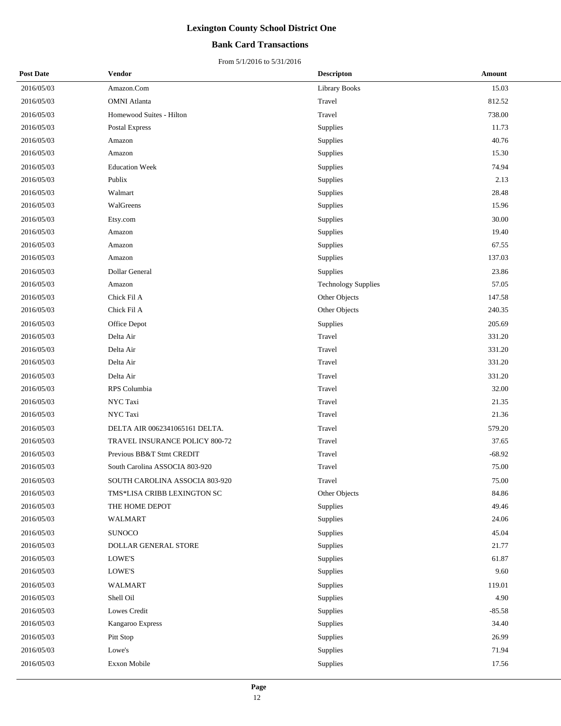### **Bank Card Transactions**

| <b>Post Date</b> | Vendor                         | <b>Descripton</b>          | Amount   |
|------------------|--------------------------------|----------------------------|----------|
| 2016/05/03       | Amazon.Com                     | <b>Library Books</b>       | 15.03    |
| 2016/05/03       | <b>OMNI</b> Atlanta            | Travel                     | 812.52   |
| 2016/05/03       | Homewood Suites - Hilton       | Travel                     | 738.00   |
| 2016/05/03       | Postal Express                 | Supplies                   | 11.73    |
| 2016/05/03       | Amazon                         | Supplies                   | 40.76    |
| 2016/05/03       | Amazon                         | Supplies                   | 15.30    |
| 2016/05/03       | <b>Education Week</b>          | Supplies                   | 74.94    |
| 2016/05/03       | Publix                         | Supplies                   | 2.13     |
| 2016/05/03       | Walmart                        | Supplies                   | 28.48    |
| 2016/05/03       | WalGreens                      | Supplies                   | 15.96    |
| 2016/05/03       | Etsy.com                       | Supplies                   | 30.00    |
| 2016/05/03       | Amazon                         | Supplies                   | 19.40    |
| 2016/05/03       | Amazon                         | Supplies                   | 67.55    |
| 2016/05/03       | Amazon                         | Supplies                   | 137.03   |
| 2016/05/03       | Dollar General                 | Supplies                   | 23.86    |
| 2016/05/03       | Amazon                         | <b>Technology Supplies</b> | 57.05    |
| 2016/05/03       | Chick Fil A                    | Other Objects              | 147.58   |
| 2016/05/03       | Chick Fil A                    | Other Objects              | 240.35   |
| 2016/05/03       | Office Depot                   | Supplies                   | 205.69   |
| 2016/05/03       | Delta Air                      | Travel                     | 331.20   |
| 2016/05/03       | Delta Air                      | Travel                     | 331.20   |
| 2016/05/03       | Delta Air                      | Travel                     | 331.20   |
| 2016/05/03       | Delta Air                      | Travel                     | 331.20   |
| 2016/05/03       | RPS Columbia                   | Travel                     | 32.00    |
| 2016/05/03       | NYC Taxi                       | Travel                     | 21.35    |
| 2016/05/03       | NYC Taxi                       | Travel                     | 21.36    |
| 2016/05/03       | DELTA AIR 0062341065161 DELTA. | Travel                     | 579.20   |
| 2016/05/03       | TRAVEL INSURANCE POLICY 800-72 | Travel                     | 37.65    |
| 2016/05/03       | Previous BB&T Stmt CREDIT      | Travel                     | $-68.92$ |
| 2016/05/03       | South Carolina ASSOCIA 803-920 | Travel                     | 75.00    |
| 2016/05/03       | SOUTH CAROLINA ASSOCIA 803-920 | Travel                     | 75.00    |
| 2016/05/03       | TMS*LISA CRIBB LEXINGTON SC    | Other Objects              | 84.86    |
| 2016/05/03       | THE HOME DEPOT                 | Supplies                   | 49.46    |
| 2016/05/03       | WALMART                        | Supplies                   | 24.06    |
| 2016/05/03       | <b>SUNOCO</b>                  | Supplies                   | 45.04    |
| 2016/05/03       | DOLLAR GENERAL STORE           | Supplies                   | 21.77    |
| 2016/05/03       | LOWE'S                         | Supplies                   | 61.87    |
| 2016/05/03       | LOWE'S                         | Supplies                   | 9.60     |
| 2016/05/03       | WALMART                        | Supplies                   | 119.01   |
| 2016/05/03       | Shell Oil                      | Supplies                   | 4.90     |
| 2016/05/03       | Lowes Credit                   | Supplies                   | $-85.58$ |
| 2016/05/03       | Kangaroo Express               | Supplies                   | 34.40    |
| 2016/05/03       | Pitt Stop                      | Supplies                   | 26.99    |
| 2016/05/03       | Lowe's                         | Supplies                   | 71.94    |
| 2016/05/03       | Exxon Mobile                   | Supplies                   | 17.56    |
|                  |                                |                            |          |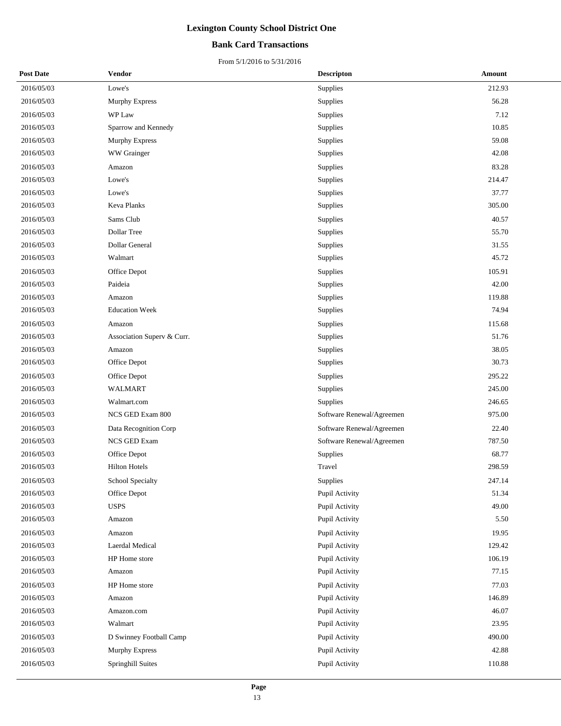### **Bank Card Transactions**

| <b>Post Date</b> | Vendor                     | <b>Descripton</b>         | Amount |
|------------------|----------------------------|---------------------------|--------|
| 2016/05/03       | Lowe's                     | Supplies                  | 212.93 |
| 2016/05/03       | Murphy Express             | Supplies                  | 56.28  |
| 2016/05/03       | WP Law                     | Supplies                  | 7.12   |
| 2016/05/03       | Sparrow and Kennedy        | Supplies                  | 10.85  |
| 2016/05/03       | Murphy Express             | Supplies                  | 59.08  |
| 2016/05/03       | WW Grainger                | Supplies                  | 42.08  |
| 2016/05/03       | Amazon                     | Supplies                  | 83.28  |
| 2016/05/03       | Lowe's                     | Supplies                  | 214.47 |
| 2016/05/03       | Lowe's                     | Supplies                  | 37.77  |
| 2016/05/03       | <b>Keva Planks</b>         | Supplies                  | 305.00 |
| 2016/05/03       | Sams Club                  | Supplies                  | 40.57  |
| 2016/05/03       | Dollar Tree                | Supplies                  | 55.70  |
| 2016/05/03       | Dollar General             | Supplies                  | 31.55  |
| 2016/05/03       | Walmart                    | Supplies                  | 45.72  |
| 2016/05/03       | Office Depot               | Supplies                  | 105.91 |
| 2016/05/03       | Paideia                    | Supplies                  | 42.00  |
| 2016/05/03       | Amazon                     | Supplies                  | 119.88 |
| 2016/05/03       | <b>Education Week</b>      | Supplies                  | 74.94  |
| 2016/05/03       | Amazon                     | Supplies                  | 115.68 |
| 2016/05/03       | Association Superv & Curr. | Supplies                  | 51.76  |
| 2016/05/03       | Amazon                     | Supplies                  | 38.05  |
| 2016/05/03       | Office Depot               | Supplies                  | 30.73  |
| 2016/05/03       | Office Depot               | Supplies                  | 295.22 |
| 2016/05/03       | <b>WALMART</b>             | Supplies                  | 245.00 |
| 2016/05/03       | Walmart.com                | Supplies                  | 246.65 |
| 2016/05/03       | NCS GED Exam 800           | Software Renewal/Agreemen | 975.00 |
| 2016/05/03       | Data Recognition Corp      | Software Renewal/Agreemen | 22.40  |
| 2016/05/03       | <b>NCS GED Exam</b>        | Software Renewal/Agreemen | 787.50 |
| 2016/05/03       | Office Depot               | Supplies                  | 68.77  |
| 2016/05/03       | <b>Hilton Hotels</b>       | Travel                    | 298.59 |
| 2016/05/03       | School Specialty           | Supplies                  | 247.14 |
| 2016/05/03       | Office Depot               | Pupil Activity            | 51.34  |
| 2016/05/03       | <b>USPS</b>                | Pupil Activity            | 49.00  |
| 2016/05/03       | Amazon                     | Pupil Activity            | 5.50   |
| 2016/05/03       | Amazon                     | Pupil Activity            | 19.95  |
| 2016/05/03       | Laerdal Medical            | Pupil Activity            | 129.42 |
| 2016/05/03       | HP Home store              | Pupil Activity            | 106.19 |
| 2016/05/03       | Amazon                     | Pupil Activity            | 77.15  |
| 2016/05/03       | HP Home store              | Pupil Activity            | 77.03  |
| 2016/05/03       | Amazon                     | Pupil Activity            | 146.89 |
| 2016/05/03       | Amazon.com                 | Pupil Activity            | 46.07  |
| 2016/05/03       | Walmart                    | Pupil Activity            | 23.95  |
| 2016/05/03       | D Swinney Football Camp    | Pupil Activity            | 490.00 |
| 2016/05/03       | Murphy Express             | Pupil Activity            | 42.88  |
| 2016/05/03       | Springhill Suites          | Pupil Activity            | 110.88 |
|                  |                            |                           |        |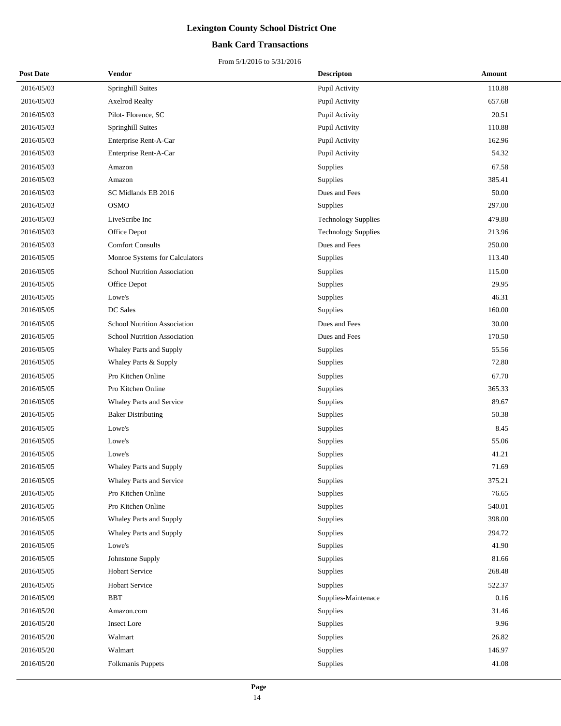### **Bank Card Transactions**

| <b>Post Date</b> | Vendor                          | <b>Descripton</b>          | Amount |
|------------------|---------------------------------|----------------------------|--------|
| 2016/05/03       | Springhill Suites               | Pupil Activity             | 110.88 |
| 2016/05/03       | <b>Axelrod Realty</b>           | Pupil Activity             | 657.68 |
| 2016/05/03       | Pilot-Florence, SC              | Pupil Activity             | 20.51  |
| 2016/05/03       | Springhill Suites               | Pupil Activity             | 110.88 |
| 2016/05/03       | Enterprise Rent-A-Car           | Pupil Activity             | 162.96 |
| 2016/05/03       | Enterprise Rent-A-Car           | Pupil Activity             | 54.32  |
| 2016/05/03       | Amazon                          | Supplies                   | 67.58  |
| 2016/05/03       | Amazon                          | Supplies                   | 385.41 |
| 2016/05/03       | SC Midlands EB 2016             | Dues and Fees              | 50.00  |
| 2016/05/03       | <b>OSMO</b>                     | Supplies                   | 297.00 |
| 2016/05/03       | LiveScribe Inc                  | <b>Technology Supplies</b> | 479.80 |
| 2016/05/03       | Office Depot                    | <b>Technology Supplies</b> | 213.96 |
| 2016/05/03       | <b>Comfort Consults</b>         | Dues and Fees              | 250.00 |
| 2016/05/05       | Monroe Systems for Calculators  | Supplies                   | 113.40 |
| 2016/05/05       | School Nutrition Association    | Supplies                   | 115.00 |
| 2016/05/05       | Office Depot                    | <b>Supplies</b>            | 29.95  |
| 2016/05/05       | Lowe's                          | Supplies                   | 46.31  |
| 2016/05/05       | DC Sales                        | Supplies                   | 160.00 |
| 2016/05/05       | School Nutrition Association    | Dues and Fees              | 30.00  |
| 2016/05/05       | School Nutrition Association    | Dues and Fees              | 170.50 |
| 2016/05/05       | Whaley Parts and Supply         | Supplies                   | 55.56  |
| 2016/05/05       | Whaley Parts & Supply           | Supplies                   | 72.80  |
| 2016/05/05       | Pro Kitchen Online              | Supplies                   | 67.70  |
| 2016/05/05       | Pro Kitchen Online              | Supplies                   | 365.33 |
| 2016/05/05       | Whaley Parts and Service        | Supplies                   | 89.67  |
| 2016/05/05       | <b>Baker Distributing</b>       | Supplies                   | 50.38  |
| 2016/05/05       | Lowe's                          | Supplies                   | 8.45   |
| 2016/05/05       | Lowe's                          | Supplies                   | 55.06  |
| 2016/05/05       | Lowe's                          | Supplies                   | 41.21  |
| 2016/05/05       | <b>Whaley Parts and Supply</b>  | Supplies                   | 71.69  |
| 2016/05/05       | <b>Whaley Parts and Service</b> | Supplies                   | 375.21 |
| 2016/05/05       | Pro Kitchen Online              | Supplies                   | 76.65  |
| 2016/05/05       | Pro Kitchen Online              | <b>Supplies</b>            | 540.01 |
| 2016/05/05       | Whaley Parts and Supply         | Supplies                   | 398.00 |
| 2016/05/05       | Whaley Parts and Supply         | Supplies                   | 294.72 |
| 2016/05/05       | Lowe's                          | Supplies                   | 41.90  |
| 2016/05/05       | Johnstone Supply                | Supplies                   | 81.66  |
| 2016/05/05       | <b>Hobart Service</b>           | Supplies                   | 268.48 |
| 2016/05/05       | Hobart Service                  | Supplies                   | 522.37 |
| 2016/05/09       | <b>BBT</b>                      | Supplies-Maintenace        | 0.16   |
| 2016/05/20       | Amazon.com                      | Supplies                   | 31.46  |
| 2016/05/20       | <b>Insect Lore</b>              | Supplies                   | 9.96   |
| 2016/05/20       | Walmart                         | Supplies                   | 26.82  |
| 2016/05/20       | Walmart                         | Supplies                   | 146.97 |
| 2016/05/20       | Folkmanis Puppets               | Supplies                   | 41.08  |
|                  |                                 |                            |        |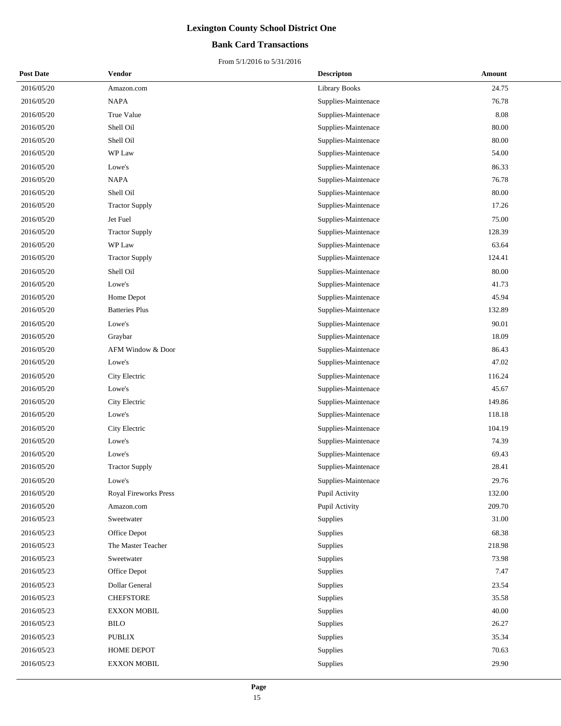### **Bank Card Transactions**

| <b>Post Date</b> | Vendor                       | <b>Descripton</b>    | Amount |
|------------------|------------------------------|----------------------|--------|
| 2016/05/20       | Amazon.com                   | <b>Library Books</b> | 24.75  |
| 2016/05/20       | <b>NAPA</b>                  | Supplies-Maintenace  | 76.78  |
| 2016/05/20       | True Value                   | Supplies-Maintenace  | 8.08   |
| 2016/05/20       | Shell Oil                    | Supplies-Maintenace  | 80.00  |
| 2016/05/20       | Shell Oil                    | Supplies-Maintenace  | 80.00  |
| 2016/05/20       | WP Law                       | Supplies-Maintenace  | 54.00  |
| 2016/05/20       | Lowe's                       | Supplies-Maintenace  | 86.33  |
| 2016/05/20       | <b>NAPA</b>                  | Supplies-Maintenace  | 76.78  |
| 2016/05/20       | Shell Oil                    | Supplies-Maintenace  | 80.00  |
| 2016/05/20       | <b>Tractor Supply</b>        | Supplies-Maintenace  | 17.26  |
| 2016/05/20       | Jet Fuel                     | Supplies-Maintenace  | 75.00  |
| 2016/05/20       | <b>Tractor Supply</b>        | Supplies-Maintenace  | 128.39 |
| 2016/05/20       | WP Law                       | Supplies-Maintenace  | 63.64  |
| 2016/05/20       | <b>Tractor Supply</b>        | Supplies-Maintenace  | 124.41 |
| 2016/05/20       | Shell Oil                    | Supplies-Maintenace  | 80.00  |
| 2016/05/20       | Lowe's                       | Supplies-Maintenace  | 41.73  |
| 2016/05/20       | Home Depot                   | Supplies-Maintenace  | 45.94  |
| 2016/05/20       | <b>Batteries Plus</b>        | Supplies-Maintenace  | 132.89 |
| 2016/05/20       | Lowe's                       | Supplies-Maintenace  | 90.01  |
| 2016/05/20       | Graybar                      | Supplies-Maintenace  | 18.09  |
| 2016/05/20       | AFM Window & Door            | Supplies-Maintenace  | 86.43  |
| 2016/05/20       | Lowe's                       | Supplies-Maintenace  | 47.02  |
| 2016/05/20       | City Electric                | Supplies-Maintenace  | 116.24 |
| 2016/05/20       | Lowe's                       | Supplies-Maintenace  | 45.67  |
| 2016/05/20       | City Electric                | Supplies-Maintenace  | 149.86 |
| 2016/05/20       | Lowe's                       | Supplies-Maintenace  | 118.18 |
| 2016/05/20       | City Electric                | Supplies-Maintenace  | 104.19 |
| 2016/05/20       | Lowe's                       | Supplies-Maintenace  | 74.39  |
| 2016/05/20       | Lowe's                       | Supplies-Maintenace  | 69.43  |
| 2016/05/20       | <b>Tractor Supply</b>        | Supplies-Maintenace  | 28.41  |
| 2016/05/20       | Lowe's                       | Supplies-Maintenace  | 29.76  |
| 2016/05/20       | <b>Royal Fireworks Press</b> | Pupil Activity       | 132.00 |
| 2016/05/20       | Amazon.com                   | Pupil Activity       | 209.70 |
| 2016/05/23       | Sweetwater                   | Supplies             | 31.00  |
| 2016/05/23       | Office Depot                 | Supplies             | 68.38  |
| 2016/05/23       | The Master Teacher           | Supplies             | 218.98 |
| 2016/05/23       | Sweetwater                   | Supplies             | 73.98  |
| 2016/05/23       | Office Depot                 | Supplies             | 7.47   |
| 2016/05/23       | Dollar General               | Supplies             | 23.54  |
| 2016/05/23       | <b>CHEFSTORE</b>             | Supplies             | 35.58  |
| 2016/05/23       | <b>EXXON MOBIL</b>           | Supplies             | 40.00  |
| 2016/05/23       | <b>BILO</b>                  | Supplies             | 26.27  |
| 2016/05/23       | <b>PUBLIX</b>                | Supplies             | 35.34  |
| 2016/05/23       | HOME DEPOT                   | Supplies             | 70.63  |
| 2016/05/23       | <b>EXXON MOBIL</b>           | Supplies             | 29.90  |
|                  |                              |                      |        |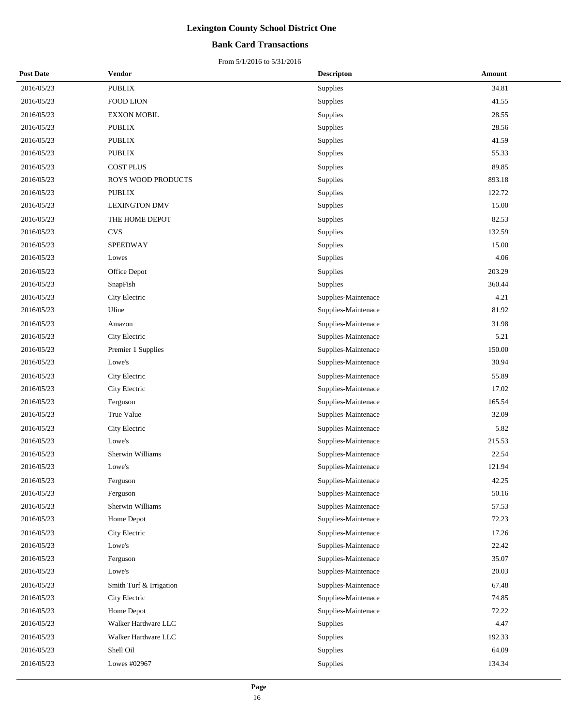### **Bank Card Transactions**

| <b>Post Date</b> | Vendor                  | <b>Descripton</b>   | Amount |
|------------------|-------------------------|---------------------|--------|
| 2016/05/23       | PUBLIX                  | Supplies            | 34.81  |
| 2016/05/23       | <b>FOOD LION</b>        | Supplies            | 41.55  |
| 2016/05/23       | <b>EXXON MOBIL</b>      | Supplies            | 28.55  |
| 2016/05/23       | <b>PUBLIX</b>           | Supplies            | 28.56  |
| 2016/05/23       | <b>PUBLIX</b>           | Supplies            | 41.59  |
| 2016/05/23       | <b>PUBLIX</b>           | Supplies            | 55.33  |
| 2016/05/23       | <b>COST PLUS</b>        | Supplies            | 89.85  |
| 2016/05/23       | ROYS WOOD PRODUCTS      | Supplies            | 893.18 |
| 2016/05/23       | <b>PUBLIX</b>           | Supplies            | 122.72 |
| 2016/05/23       | <b>LEXINGTON DMV</b>    | Supplies            | 15.00  |
| 2016/05/23       | THE HOME DEPOT          | Supplies            | 82.53  |
| 2016/05/23       | <b>CVS</b>              | Supplies            | 132.59 |
| 2016/05/23       | SPEEDWAY                | Supplies            | 15.00  |
| 2016/05/23       | Lowes                   | Supplies            | 4.06   |
| 2016/05/23       | Office Depot            | Supplies            | 203.29 |
| 2016/05/23       | SnapFish                | Supplies            | 360.44 |
| 2016/05/23       | City Electric           | Supplies-Maintenace | 4.21   |
| 2016/05/23       | Uline                   | Supplies-Maintenace | 81.92  |
| 2016/05/23       | Amazon                  | Supplies-Maintenace | 31.98  |
| 2016/05/23       | City Electric           | Supplies-Maintenace | 5.21   |
| 2016/05/23       | Premier 1 Supplies      | Supplies-Maintenace | 150.00 |
| 2016/05/23       | Lowe's                  | Supplies-Maintenace | 30.94  |
| 2016/05/23       | City Electric           | Supplies-Maintenace | 55.89  |
| 2016/05/23       | City Electric           | Supplies-Maintenace | 17.02  |
| 2016/05/23       | Ferguson                | Supplies-Maintenace | 165.54 |
| 2016/05/23       | True Value              | Supplies-Maintenace | 32.09  |
| 2016/05/23       | City Electric           | Supplies-Maintenace | 5.82   |
| 2016/05/23       | Lowe's                  | Supplies-Maintenace | 215.53 |
| 2016/05/23       | Sherwin Williams        | Supplies-Maintenace | 22.54  |
| 2016/05/23       | Lowe's                  | Supplies-Maintenace | 121.94 |
| 2016/05/23       | Ferguson                | Supplies-Maintenace | 42.25  |
| 2016/05/23       | Ferguson                | Supplies-Maintenace | 50.16  |
| 2016/05/23       | Sherwin Williams        | Supplies-Maintenace | 57.53  |
| 2016/05/23       | Home Depot              | Supplies-Maintenace | 72.23  |
| 2016/05/23       | City Electric           | Supplies-Maintenace | 17.26  |
| 2016/05/23       | Lowe's                  | Supplies-Maintenace | 22.42  |
| 2016/05/23       | Ferguson                | Supplies-Maintenace | 35.07  |
| 2016/05/23       | Lowe's                  | Supplies-Maintenace | 20.03  |
| 2016/05/23       | Smith Turf & Irrigation | Supplies-Maintenace | 67.48  |
| 2016/05/23       | City Electric           | Supplies-Maintenace | 74.85  |
| 2016/05/23       | Home Depot              | Supplies-Maintenace | 72.22  |
| 2016/05/23       | Walker Hardware LLC     | Supplies            | 4.47   |
| 2016/05/23       | Walker Hardware LLC     | Supplies            | 192.33 |
| 2016/05/23       | Shell Oil               | Supplies            | 64.09  |
| 2016/05/23       | Lowes #02967            | Supplies            | 134.34 |
|                  |                         |                     |        |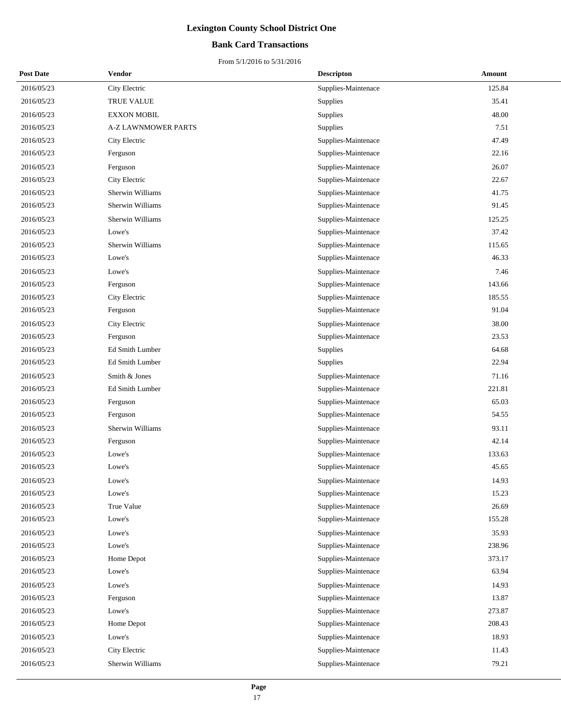### **Bank Card Transactions**

| <b>Post Date</b> | Vendor                     | <b>Descripton</b>   | Amount |
|------------------|----------------------------|---------------------|--------|
| 2016/05/23       | City Electric              | Supplies-Maintenace | 125.84 |
| 2016/05/23       | TRUE VALUE                 | Supplies            | 35.41  |
| 2016/05/23       | <b>EXXON MOBIL</b>         | Supplies            | 48.00  |
| 2016/05/23       | <b>A-Z LAWNMOWER PARTS</b> | <b>Supplies</b>     | 7.51   |
| 2016/05/23       | City Electric              | Supplies-Maintenace | 47.49  |
| 2016/05/23       | Ferguson                   | Supplies-Maintenace | 22.16  |
| 2016/05/23       | Ferguson                   | Supplies-Maintenace | 26.07  |
| 2016/05/23       | City Electric              | Supplies-Maintenace | 22.67  |
| 2016/05/23       | Sherwin Williams           | Supplies-Maintenace | 41.75  |
| 2016/05/23       | Sherwin Williams           | Supplies-Maintenace | 91.45  |
| 2016/05/23       | Sherwin Williams           | Supplies-Maintenace | 125.25 |
| 2016/05/23       | Lowe's                     | Supplies-Maintenace | 37.42  |
| 2016/05/23       | Sherwin Williams           | Supplies-Maintenace | 115.65 |
| 2016/05/23       | Lowe's                     | Supplies-Maintenace | 46.33  |
| 2016/05/23       | Lowe's                     | Supplies-Maintenace | 7.46   |
| 2016/05/23       | Ferguson                   | Supplies-Maintenace | 143.66 |
| 2016/05/23       | City Electric              | Supplies-Maintenace | 185.55 |
| 2016/05/23       | Ferguson                   | Supplies-Maintenace | 91.04  |
| 2016/05/23       | City Electric              | Supplies-Maintenace | 38.00  |
| 2016/05/23       | Ferguson                   | Supplies-Maintenace | 23.53  |
| 2016/05/23       | Ed Smith Lumber            | Supplies            | 64.68  |
| 2016/05/23       | Ed Smith Lumber            | Supplies            | 22.94  |
| 2016/05/23       | Smith & Jones              | Supplies-Maintenace | 71.16  |
| 2016/05/23       | Ed Smith Lumber            | Supplies-Maintenace | 221.81 |
| 2016/05/23       | Ferguson                   | Supplies-Maintenace | 65.03  |
| 2016/05/23       | Ferguson                   | Supplies-Maintenace | 54.55  |
| 2016/05/23       | Sherwin Williams           | Supplies-Maintenace | 93.11  |
| 2016/05/23       | Ferguson                   | Supplies-Maintenace | 42.14  |
| 2016/05/23       | Lowe's                     | Supplies-Maintenace | 133.63 |
| 2016/05/23       | Lowe's                     | Supplies-Maintenace | 45.65  |
| 2016/05/23       | Lowe's                     | Supplies-Maintenace | 14.93  |
| 2016/05/23       | Lowe's                     | Supplies-Maintenace | 15.23  |
| 2016/05/23       | True Value                 | Supplies-Maintenace | 26.69  |
| 2016/05/23       | Lowe's                     | Supplies-Maintenace | 155.28 |
| 2016/05/23       | Lowe's                     | Supplies-Maintenace | 35.93  |
| 2016/05/23       | Lowe's                     | Supplies-Maintenace | 238.96 |
| 2016/05/23       | Home Depot                 | Supplies-Maintenace | 373.17 |
| 2016/05/23       | Lowe's                     | Supplies-Maintenace | 63.94  |
| 2016/05/23       | Lowe's                     | Supplies-Maintenace | 14.93  |
| 2016/05/23       | Ferguson                   | Supplies-Maintenace | 13.87  |
| 2016/05/23       | Lowe's                     | Supplies-Maintenace | 273.87 |
| 2016/05/23       | Home Depot                 | Supplies-Maintenace | 208.43 |
| 2016/05/23       | Lowe's                     | Supplies-Maintenace | 18.93  |
| 2016/05/23       | City Electric              | Supplies-Maintenace | 11.43  |
| 2016/05/23       | Sherwin Williams           | Supplies-Maintenace | 79.21  |
|                  |                            |                     |        |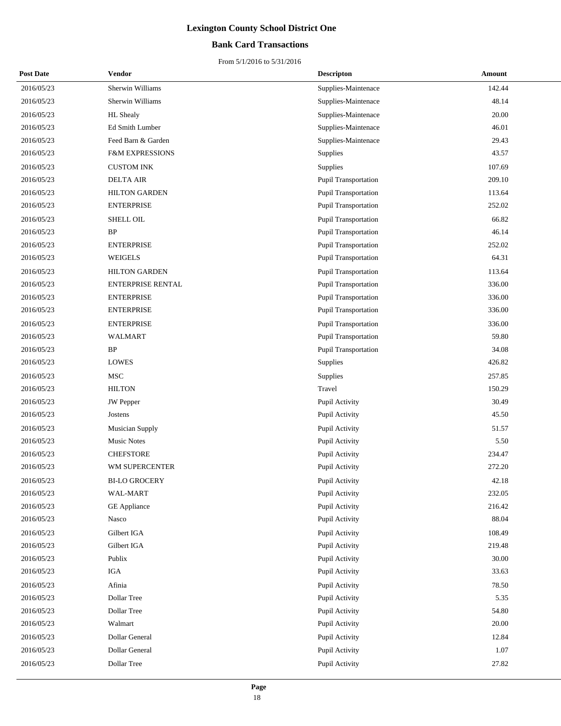### **Bank Card Transactions**

| <b>Post Date</b> | Vendor                     | <b>Descripton</b>           | Amount |
|------------------|----------------------------|-----------------------------|--------|
| 2016/05/23       | Sherwin Williams           | Supplies-Maintenace         | 142.44 |
| 2016/05/23       | Sherwin Williams           | Supplies-Maintenace         | 48.14  |
| 2016/05/23       | <b>HL</b> Shealy           | Supplies-Maintenace         | 20.00  |
| 2016/05/23       | Ed Smith Lumber            | Supplies-Maintenace         | 46.01  |
| 2016/05/23       | Feed Barn & Garden         | Supplies-Maintenace         | 29.43  |
| 2016/05/23       | <b>F&amp;M EXPRESSIONS</b> | Supplies                    | 43.57  |
| 2016/05/23       | <b>CUSTOM INK</b>          | Supplies                    | 107.69 |
| 2016/05/23       | <b>DELTA AIR</b>           | Pupil Transportation        | 209.10 |
| 2016/05/23       | <b>HILTON GARDEN</b>       | Pupil Transportation        | 113.64 |
| 2016/05/23       | <b>ENTERPRISE</b>          | Pupil Transportation        | 252.02 |
| 2016/05/23       | SHELL OIL                  | <b>Pupil Transportation</b> | 66.82  |
| 2016/05/23       | BP                         | Pupil Transportation        | 46.14  |
| 2016/05/23       | <b>ENTERPRISE</b>          | Pupil Transportation        | 252.02 |
| 2016/05/23       | <b>WEIGELS</b>             | Pupil Transportation        | 64.31  |
| 2016/05/23       | <b>HILTON GARDEN</b>       | Pupil Transportation        | 113.64 |
| 2016/05/23       | <b>ENTERPRISE RENTAL</b>   | Pupil Transportation        | 336.00 |
| 2016/05/23       | <b>ENTERPRISE</b>          | Pupil Transportation        | 336.00 |
| 2016/05/23       | <b>ENTERPRISE</b>          | Pupil Transportation        | 336.00 |
| 2016/05/23       | <b>ENTERPRISE</b>          | <b>Pupil Transportation</b> | 336.00 |
| 2016/05/23       | WALMART                    | Pupil Transportation        | 59.80  |
| 2016/05/23       | $\rm BP$                   | Pupil Transportation        | 34.08  |
| 2016/05/23       | <b>LOWES</b>               | Supplies                    | 426.82 |
| 2016/05/23       | <b>MSC</b>                 | Supplies                    | 257.85 |
| 2016/05/23       | <b>HILTON</b>              | Travel                      | 150.29 |
| 2016/05/23       | <b>JW</b> Pepper           | Pupil Activity              | 30.49  |
| 2016/05/23       | Jostens                    | Pupil Activity              | 45.50  |
| 2016/05/23       | <b>Musician Supply</b>     | Pupil Activity              | 51.57  |
| 2016/05/23       | <b>Music Notes</b>         | Pupil Activity              | 5.50   |
| 2016/05/23       | <b>CHEFSTORE</b>           | Pupil Activity              | 234.47 |
| 2016/05/23       | WM SUPERCENTER             | Pupil Activity              | 272.20 |
| 2016/05/23       | <b>BI-LO GROCERY</b>       | Pupil Activity              | 42.18  |
| 2016/05/23       | WAL-MART                   | Pupil Activity              | 232.05 |
| 2016/05/23       | <b>GE</b> Appliance        | Pupil Activity              | 216.42 |
| 2016/05/23       | Nasco                      | Pupil Activity              | 88.04  |
| 2016/05/23       | Gilbert IGA                | Pupil Activity              | 108.49 |
| 2016/05/23       | Gilbert IGA                | Pupil Activity              | 219.48 |
| 2016/05/23       | Publix                     | Pupil Activity              | 30.00  |
| 2016/05/23       | IGA                        | Pupil Activity              | 33.63  |
| 2016/05/23       | Afinia                     | Pupil Activity              | 78.50  |
| 2016/05/23       | Dollar Tree                | Pupil Activity              | 5.35   |
| 2016/05/23       | Dollar Tree                | Pupil Activity              | 54.80  |
| 2016/05/23       | Walmart                    | Pupil Activity              | 20.00  |
| 2016/05/23       | Dollar General             | Pupil Activity              | 12.84  |
| 2016/05/23       | Dollar General             | Pupil Activity              | 1.07   |
| 2016/05/23       | Dollar Tree                | Pupil Activity              | 27.82  |
|                  |                            |                             |        |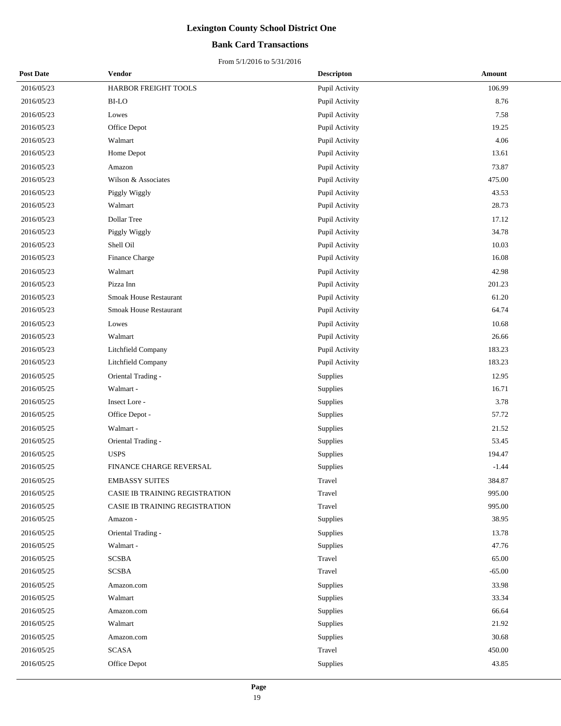### **Bank Card Transactions**

| <b>Post Date</b> | Vendor                         | <b>Descripton</b> | Amount   |
|------------------|--------------------------------|-------------------|----------|
| 2016/05/23       | HARBOR FREIGHT TOOLS           | Pupil Activity    | 106.99   |
| 2016/05/23       | <b>BI-LO</b>                   | Pupil Activity    | 8.76     |
| 2016/05/23       | Lowes                          | Pupil Activity    | 7.58     |
| 2016/05/23       | Office Depot                   | Pupil Activity    | 19.25    |
| 2016/05/23       | Walmart                        | Pupil Activity    | 4.06     |
| 2016/05/23       | Home Depot                     | Pupil Activity    | 13.61    |
| 2016/05/23       | Amazon                         | Pupil Activity    | 73.87    |
| 2016/05/23       | Wilson & Associates            | Pupil Activity    | 475.00   |
| 2016/05/23       | Piggly Wiggly                  | Pupil Activity    | 43.53    |
| 2016/05/23       | Walmart                        | Pupil Activity    | 28.73    |
| 2016/05/23       | Dollar Tree                    | Pupil Activity    | 17.12    |
| 2016/05/23       | Piggly Wiggly                  | Pupil Activity    | 34.78    |
| 2016/05/23       | Shell Oil                      | Pupil Activity    | 10.03    |
| 2016/05/23       | Finance Charge                 | Pupil Activity    | 16.08    |
| 2016/05/23       | Walmart                        | Pupil Activity    | 42.98    |
| 2016/05/23       | Pizza Inn                      | Pupil Activity    | 201.23   |
| 2016/05/23       | <b>Smoak House Restaurant</b>  | Pupil Activity    | 61.20    |
| 2016/05/23       | Smoak House Restaurant         | Pupil Activity    | 64.74    |
| 2016/05/23       | Lowes                          | Pupil Activity    | 10.68    |
| 2016/05/23       | Walmart                        | Pupil Activity    | 26.66    |
| 2016/05/23       | Litchfield Company             | Pupil Activity    | 183.23   |
| 2016/05/23       | Litchfield Company             | Pupil Activity    | 183.23   |
| 2016/05/25       | Oriental Trading -             | Supplies          | 12.95    |
| 2016/05/25       | Walmart -                      | Supplies          | 16.71    |
| 2016/05/25       | Insect Lore -                  | Supplies          | 3.78     |
| 2016/05/25       | Office Depot -                 | Supplies          | 57.72    |
| 2016/05/25       | Walmart -                      | Supplies          | 21.52    |
| 2016/05/25       | Oriental Trading -             | Supplies          | 53.45    |
| 2016/05/25       | <b>USPS</b>                    | Supplies          | 194.47   |
| 2016/05/25       | FINANCE CHARGE REVERSAL        | Supplies          | $-1.44$  |
| 2016/05/25       | <b>EMBASSY SUITES</b>          | Travel            | 384.87   |
| 2016/05/25       | CASIE IB TRAINING REGISTRATION | Travel            | 995.00   |
| 2016/05/25       | CASIE IB TRAINING REGISTRATION | Travel            | 995.00   |
| 2016/05/25       | Amazon -                       | Supplies          | 38.95    |
| 2016/05/25       | Oriental Trading -             | Supplies          | 13.78    |
| 2016/05/25       | Walmart -                      | Supplies          | 47.76    |
| 2016/05/25       | <b>SCSBA</b>                   | Travel            | 65.00    |
| 2016/05/25       | <b>SCSBA</b>                   | Travel            | $-65.00$ |
| 2016/05/25       | Amazon.com                     | Supplies          | 33.98    |
| 2016/05/25       | Walmart                        | Supplies          | 33.34    |
| 2016/05/25       | Amazon.com                     | Supplies          | 66.64    |
| 2016/05/25       | Walmart                        | Supplies          | 21.92    |
| 2016/05/25       | Amazon.com                     | Supplies          | 30.68    |
| 2016/05/25       | <b>SCASA</b>                   | Travel            | 450.00   |
| 2016/05/25       | Office Depot                   | Supplies          | 43.85    |
|                  |                                |                   |          |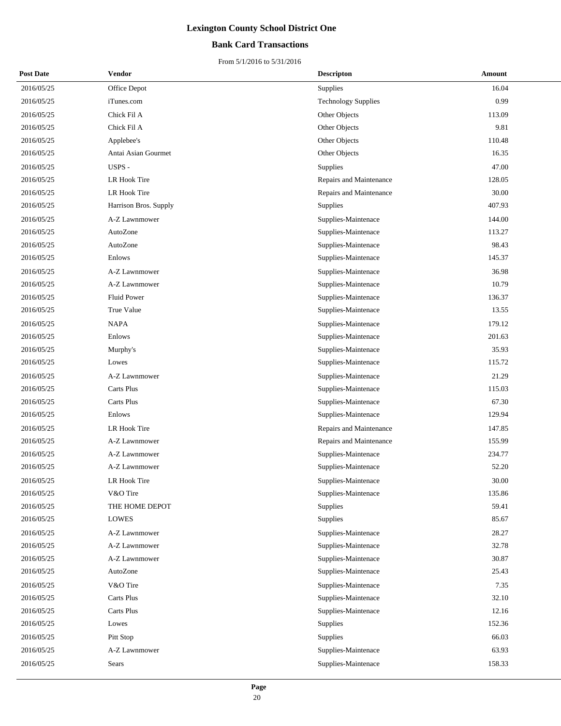### **Bank Card Transactions**

| <b>Post Date</b> | Vendor                | <b>Descripton</b>          | Amount |
|------------------|-----------------------|----------------------------|--------|
| 2016/05/25       | Office Depot          | Supplies                   | 16.04  |
| 2016/05/25       | iTunes.com            | <b>Technology Supplies</b> | 0.99   |
| 2016/05/25       | Chick Fil A           | Other Objects              | 113.09 |
| 2016/05/25       | Chick Fil A           | Other Objects              | 9.81   |
| 2016/05/25       | Applebee's            | Other Objects              | 110.48 |
| 2016/05/25       | Antai Asian Gourmet   | Other Objects              | 16.35  |
| 2016/05/25       | USPS -                | Supplies                   | 47.00  |
| 2016/05/25       | LR Hook Tire          | Repairs and Maintenance    | 128.05 |
| 2016/05/25       | LR Hook Tire          | Repairs and Maintenance    | 30.00  |
| 2016/05/25       | Harrison Bros. Supply | Supplies                   | 407.93 |
| 2016/05/25       | A-Z Lawnmower         | Supplies-Maintenace        | 144.00 |
| 2016/05/25       | AutoZone              | Supplies-Maintenace        | 113.27 |
| 2016/05/25       | AutoZone              | Supplies-Maintenace        | 98.43  |
| 2016/05/25       | Enlows                | Supplies-Maintenace        | 145.37 |
| 2016/05/25       | A-Z Lawnmower         | Supplies-Maintenace        | 36.98  |
| 2016/05/25       | A-Z Lawnmower         | Supplies-Maintenace        | 10.79  |
| 2016/05/25       | <b>Fluid Power</b>    | Supplies-Maintenace        | 136.37 |
| 2016/05/25       | True Value            | Supplies-Maintenace        | 13.55  |
| 2016/05/25       | <b>NAPA</b>           | Supplies-Maintenace        | 179.12 |
| 2016/05/25       | Enlows                | Supplies-Maintenace        | 201.63 |
| 2016/05/25       | Murphy's              | Supplies-Maintenace        | 35.93  |
| 2016/05/25       | Lowes                 | Supplies-Maintenace        | 115.72 |
| 2016/05/25       | A-Z Lawnmower         | Supplies-Maintenace        | 21.29  |
| 2016/05/25       | <b>Carts Plus</b>     | Supplies-Maintenace        | 115.03 |
| 2016/05/25       | Carts Plus            | Supplies-Maintenace        | 67.30  |
| 2016/05/25       | Enlows                | Supplies-Maintenace        | 129.94 |
| 2016/05/25       | LR Hook Tire          | Repairs and Maintenance    | 147.85 |
| 2016/05/25       | A-Z Lawnmower         | Repairs and Maintenance    | 155.99 |
| 2016/05/25       | A-Z Lawnmower         | Supplies-Maintenace        | 234.77 |
| 2016/05/25       | A-Z Lawnmower         | Supplies-Maintenace        | 52.20  |
| 2016/05/25       | LR Hook Tire          | Supplies-Maintenace        | 30.00  |
| 2016/05/25       | V&O Tire              | Supplies-Maintenace        | 135.86 |
| 2016/05/25       | THE HOME DEPOT        | Supplies                   | 59.41  |
| 2016/05/25       | <b>LOWES</b>          | Supplies                   | 85.67  |
| 2016/05/25       | A-Z Lawnmower         | Supplies-Maintenace        | 28.27  |
| 2016/05/25       | A-Z Lawnmower         | Supplies-Maintenace        | 32.78  |
| 2016/05/25       | A-Z Lawnmower         | Supplies-Maintenace        | 30.87  |
| 2016/05/25       | AutoZone              | Supplies-Maintenace        | 25.43  |
| 2016/05/25       | V&O Tire              | Supplies-Maintenace        | 7.35   |
| 2016/05/25       | <b>Carts Plus</b>     | Supplies-Maintenace        | 32.10  |
| 2016/05/25       | Carts Plus            | Supplies-Maintenace        | 12.16  |
| 2016/05/25       | Lowes                 | Supplies                   | 152.36 |
| 2016/05/25       | Pitt Stop             | Supplies                   | 66.03  |
| 2016/05/25       | A-Z Lawnmower         | Supplies-Maintenace        | 63.93  |
| 2016/05/25       | Sears                 | Supplies-Maintenace        | 158.33 |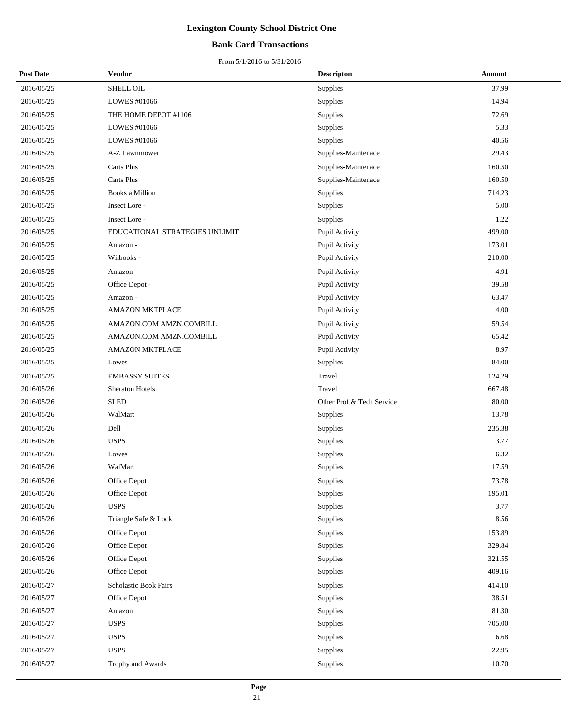### **Bank Card Transactions**

| <b>Post Date</b> | Vendor                         | <b>Descripton</b>         | Amount |
|------------------|--------------------------------|---------------------------|--------|
| 2016/05/25       | SHELL OIL                      | Supplies                  | 37.99  |
| 2016/05/25       | LOWES #01066                   | Supplies                  | 14.94  |
| 2016/05/25       | THE HOME DEPOT #1106           | Supplies                  | 72.69  |
| 2016/05/25       | LOWES #01066                   | Supplies                  | 5.33   |
| 2016/05/25       | LOWES #01066                   | Supplies                  | 40.56  |
| 2016/05/25       | A-Z Lawnmower                  | Supplies-Maintenace       | 29.43  |
| 2016/05/25       | <b>Carts Plus</b>              | Supplies-Maintenace       | 160.50 |
| 2016/05/25       | <b>Carts Plus</b>              | Supplies-Maintenace       | 160.50 |
| 2016/05/25       | Books a Million                | Supplies                  | 714.23 |
| 2016/05/25       | Insect Lore -                  | Supplies                  | 5.00   |
| 2016/05/25       | Insect Lore -                  | Supplies                  | 1.22   |
| 2016/05/25       | EDUCATIONAL STRATEGIES UNLIMIT | Pupil Activity            | 499.00 |
| 2016/05/25       | Amazon -                       | Pupil Activity            | 173.01 |
| 2016/05/25       | Wilbooks -                     | Pupil Activity            | 210.00 |
| 2016/05/25       | Amazon -                       | Pupil Activity            | 4.91   |
| 2016/05/25       | Office Depot -                 | Pupil Activity            | 39.58  |
| 2016/05/25       | Amazon -                       | Pupil Activity            | 63.47  |
| 2016/05/25       | <b>AMAZON MKTPLACE</b>         | Pupil Activity            | 4.00   |
| 2016/05/25       | AMAZON.COM AMZN.COMBILL        | Pupil Activity            | 59.54  |
| 2016/05/25       | AMAZON.COM AMZN.COMBILL        | Pupil Activity            | 65.42  |
| 2016/05/25       | <b>AMAZON MKTPLACE</b>         | Pupil Activity            | 8.97   |
| 2016/05/25       | Lowes                          | Supplies                  | 84.00  |
| 2016/05/25       | <b>EMBASSY SUITES</b>          | Travel                    | 124.29 |
| 2016/05/26       | <b>Sheraton Hotels</b>         | Travel                    | 667.48 |
| 2016/05/26       | <b>SLED</b>                    | Other Prof & Tech Service | 80.00  |
| 2016/05/26       | WalMart                        | Supplies                  | 13.78  |
| 2016/05/26       | Dell                           | Supplies                  | 235.38 |
| 2016/05/26       | <b>USPS</b>                    | Supplies                  | 3.77   |
| 2016/05/26       | Lowes                          | Supplies                  | 6.32   |
| 2016/05/26       | WalMart                        | Supplies                  | 17.59  |
| 2016/05/26       | Office Depot                   | Supplies                  | 73.78  |
| 2016/05/26       | Office Depot                   | Supplies                  | 195.01 |
| 2016/05/26       | <b>USPS</b>                    | Supplies                  | 3.77   |
| 2016/05/26       | Triangle Safe & Lock           | Supplies                  | 8.56   |
| 2016/05/26       | Office Depot                   | Supplies                  | 153.89 |
| 2016/05/26       | Office Depot                   | Supplies                  | 329.84 |
| 2016/05/26       | Office Depot                   | Supplies                  | 321.55 |
| 2016/05/26       | Office Depot                   | Supplies                  | 409.16 |
| 2016/05/27       | Scholastic Book Fairs          | Supplies                  | 414.10 |
| 2016/05/27       | Office Depot                   | Supplies                  | 38.51  |
| 2016/05/27       | Amazon                         | Supplies                  | 81.30  |
| 2016/05/27       | <b>USPS</b>                    | Supplies                  | 705.00 |
| 2016/05/27       | <b>USPS</b>                    | Supplies                  | 6.68   |
| 2016/05/27       | <b>USPS</b>                    | Supplies                  | 22.95  |
| 2016/05/27       | Trophy and Awards              | Supplies                  | 10.70  |
|                  |                                |                           |        |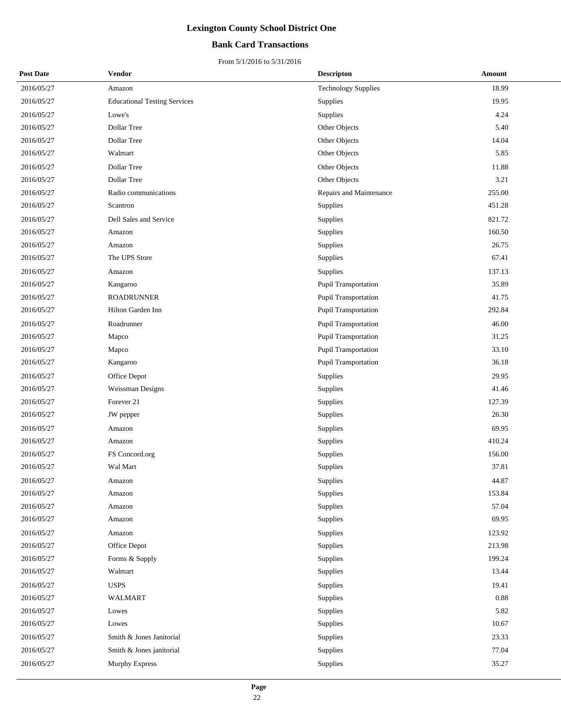### **Bank Card Transactions**

| <b>Post Date</b> | Vendor                              | <b>Descripton</b>          | Amount |
|------------------|-------------------------------------|----------------------------|--------|
| 2016/05/27       | Amazon                              | <b>Technology Supplies</b> | 18.99  |
| 2016/05/27       | <b>Educational Testing Services</b> | <b>Supplies</b>            | 19.95  |
| 2016/05/27       | Lowe's                              | Supplies                   | 4.24   |
| 2016/05/27       | Dollar Tree                         | Other Objects              | 5.40   |
| 2016/05/27       | Dollar Tree                         | Other Objects              | 14.04  |
| 2016/05/27       | Walmart                             | Other Objects              | 5.85   |
| 2016/05/27       | Dollar Tree                         | Other Objects              | 11.88  |
| 2016/05/27       | Dollar Tree                         | Other Objects              | 3.21   |
| 2016/05/27       | Radio communications                | Repairs and Maintenance    | 255.00 |
| 2016/05/27       | Scantron                            | Supplies                   | 451.28 |
| 2016/05/27       | Dell Sales and Service              | Supplies                   | 821.72 |
| 2016/05/27       | Amazon                              | Supplies                   | 160.50 |
| 2016/05/27       | Amazon                              | Supplies                   | 26.75  |
| 2016/05/27       | The UPS Store                       | Supplies                   | 67.41  |
| 2016/05/27       | Amazon                              | Supplies                   | 137.13 |
| 2016/05/27       | Kangaroo                            | Pupil Transportation       | 35.89  |
| 2016/05/27       | <b>ROADRUNNER</b>                   | Pupil Transportation       | 41.75  |
| 2016/05/27       | Hilton Garden Inn                   | Pupil Transportation       | 292.84 |
| 2016/05/27       | Roadrunner                          | Pupil Transportation       | 46.00  |
| 2016/05/27       | Mapco                               | Pupil Transportation       | 31.25  |
| 2016/05/27       | Mapco                               | Pupil Transportation       | 33.10  |
| 2016/05/27       | Kangaroo                            | Pupil Transportation       | 36.18  |
| 2016/05/27       | Office Depot                        | <b>Supplies</b>            | 29.95  |
| 2016/05/27       | Weissman Designs                    | Supplies                   | 41.46  |
| 2016/05/27       | Forever 21                          | Supplies                   | 127.39 |
| 2016/05/27       | JW pepper                           | Supplies                   | 26.30  |
| 2016/05/27       | Amazon                              | Supplies                   | 69.95  |
| 2016/05/27       | Amazon                              | Supplies                   | 410.24 |
| 2016/05/27       | FS Concord.org                      | Supplies                   | 156.00 |
| 2016/05/27       | Wal Mart                            | Supplies                   | 37.81  |
| 2016/05/27       | Amazon                              | Supplies                   | 44.87  |
| 2016/05/27       | Amazon                              | Supplies                   | 153.84 |
| 2016/05/27       | Amazon                              | Supplies                   | 57.04  |
| 2016/05/27       | Amazon                              | Supplies                   | 69.95  |
| 2016/05/27       | Amazon                              | Supplies                   | 123.92 |
| 2016/05/27       | Office Depot                        | Supplies                   | 213.98 |
| 2016/05/27       | Forms & Supply                      | Supplies                   | 199.24 |
| 2016/05/27       | Walmart                             | Supplies                   | 13.44  |
| 2016/05/27       | <b>USPS</b>                         | Supplies                   | 19.41  |
| 2016/05/27       | <b>WALMART</b>                      | Supplies                   | 0.88   |
| 2016/05/27       | Lowes                               | Supplies                   | 5.82   |
| 2016/05/27       | Lowes                               | Supplies                   | 10.67  |
| 2016/05/27       | Smith & Jones Janitorial            | Supplies                   | 23.33  |
| 2016/05/27       | Smith & Jones janitorial            | Supplies                   | 77.04  |
| 2016/05/27       | Murphy Express                      | Supplies                   | 35.27  |
|                  |                                     |                            |        |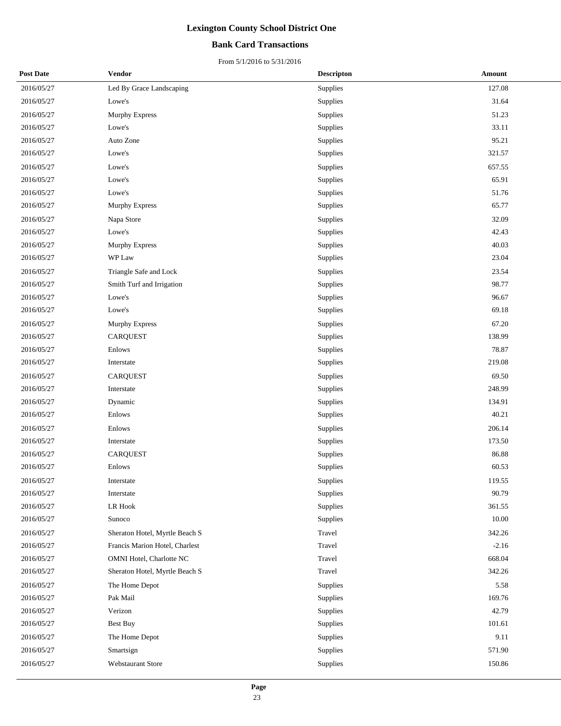### **Bank Card Transactions**

| <b>Post Date</b> | Vendor                         | <b>Descripton</b> | <b>Amount</b> |
|------------------|--------------------------------|-------------------|---------------|
| 2016/05/27       | Led By Grace Landscaping       | Supplies          | 127.08        |
| 2016/05/27       | Lowe's                         | Supplies          | 31.64         |
| 2016/05/27       | Murphy Express                 | Supplies          | 51.23         |
| 2016/05/27       | Lowe's                         | Supplies          | 33.11         |
| 2016/05/27       | Auto Zone                      | Supplies          | 95.21         |
| 2016/05/27       | Lowe's                         | Supplies          | 321.57        |
| 2016/05/27       | Lowe's                         | Supplies          | 657.55        |
| 2016/05/27       | Lowe's                         | Supplies          | 65.91         |
| 2016/05/27       | Lowe's                         | Supplies          | 51.76         |
| 2016/05/27       | <b>Murphy Express</b>          | Supplies          | 65.77         |
| 2016/05/27       | Napa Store                     | Supplies          | 32.09         |
| 2016/05/27       | Lowe's                         | Supplies          | 42.43         |
| 2016/05/27       | Murphy Express                 | Supplies          | 40.03         |
| 2016/05/27       | WP Law                         | Supplies          | 23.04         |
| 2016/05/27       | Triangle Safe and Lock         | Supplies          | 23.54         |
| 2016/05/27       | Smith Turf and Irrigation      | Supplies          | 98.77         |
| 2016/05/27       | Lowe's                         | Supplies          | 96.67         |
| 2016/05/27       | Lowe's                         | Supplies          | 69.18         |
| 2016/05/27       | Murphy Express                 | Supplies          | 67.20         |
| 2016/05/27       | <b>CARQUEST</b>                | Supplies          | 138.99        |
| 2016/05/27       | Enlows                         | Supplies          | 78.87         |
| 2016/05/27       | Interstate                     | Supplies          | 219.08        |
| 2016/05/27       | <b>CARQUEST</b>                | Supplies          | 69.50         |
| 2016/05/27       | Interstate                     | Supplies          | 248.99        |
| 2016/05/27       | Dynamic                        | Supplies          | 134.91        |
| 2016/05/27       | Enlows                         | Supplies          | 40.21         |
| 2016/05/27       | Enlows                         | Supplies          | 206.14        |
| 2016/05/27       | Interstate                     | Supplies          | 173.50        |
| 2016/05/27       | CARQUEST                       | Supplies          | 86.88         |
| 2016/05/27       | Enlows                         | Supplies          | 60.53         |
| 2016/05/27       | Interstate                     | Supplies          | 119.55        |
| 2016/05/27       | Interstate                     | Supplies          | 90.79         |
| 2016/05/27       | LR Hook                        | Supplies          | 361.55        |
| 2016/05/27       | Sunoco                         | Supplies          | 10.00         |
| 2016/05/27       | Sheraton Hotel, Myrtle Beach S | Travel            | 342.26        |
| 2016/05/27       | Francis Marion Hotel, Charlest | Travel            | $-2.16$       |
| 2016/05/27       | OMNI Hotel, Charlotte NC       | Travel            | 668.04        |
| 2016/05/27       | Sheraton Hotel, Myrtle Beach S | Travel            | 342.26        |
| 2016/05/27       | The Home Depot                 | Supplies          | 5.58          |
| 2016/05/27       | Pak Mail                       | Supplies          | 169.76        |
| 2016/05/27       | Verizon                        | Supplies          | 42.79         |
| 2016/05/27       | <b>Best Buy</b>                | Supplies          | 101.61        |
| 2016/05/27       | The Home Depot                 | Supplies          | 9.11          |
| 2016/05/27       | Smartsign                      | Supplies          | 571.90        |
| 2016/05/27       | Webstaurant Store              | Supplies          | 150.86        |
|                  |                                |                   |               |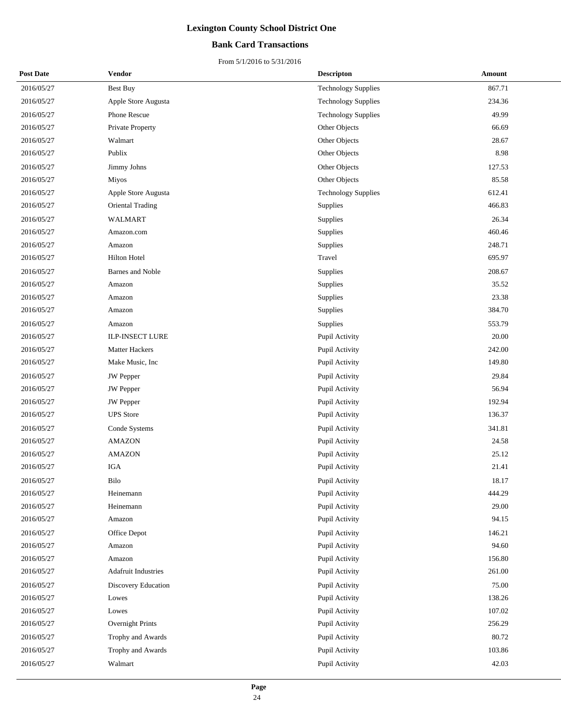### **Bank Card Transactions**

| <b>Post Date</b> | Vendor                     | <b>Descripton</b>          | <b>Amount</b> |
|------------------|----------------------------|----------------------------|---------------|
| 2016/05/27       | <b>Best Buy</b>            | <b>Technology Supplies</b> | 867.71        |
| 2016/05/27       | Apple Store Augusta        | <b>Technology Supplies</b> | 234.36        |
| 2016/05/27       | Phone Rescue               | <b>Technology Supplies</b> | 49.99         |
| 2016/05/27       | Private Property           | Other Objects              | 66.69         |
| 2016/05/27       | Walmart                    | Other Objects              | 28.67         |
| 2016/05/27       | Publix                     | Other Objects              | 8.98          |
| 2016/05/27       | Jimmy Johns                | Other Objects              | 127.53        |
| 2016/05/27       | Miyos                      | Other Objects              | 85.58         |
| 2016/05/27       | Apple Store Augusta        | <b>Technology Supplies</b> | 612.41        |
| 2016/05/27       | Oriental Trading           | Supplies                   | 466.83        |
| 2016/05/27       | WALMART                    | Supplies                   | 26.34         |
| 2016/05/27       | Amazon.com                 | Supplies                   | 460.46        |
| 2016/05/27       | Amazon                     | Supplies                   | 248.71        |
| 2016/05/27       | Hilton Hotel               | Travel                     | 695.97        |
| 2016/05/27       | <b>Barnes and Noble</b>    | Supplies                   | 208.67        |
| 2016/05/27       | Amazon                     | Supplies                   | 35.52         |
| 2016/05/27       | Amazon                     | Supplies                   | 23.38         |
| 2016/05/27       | Amazon                     | Supplies                   | 384.70        |
| 2016/05/27       | Amazon                     | Supplies                   | 553.79        |
| 2016/05/27       | <b>ILP-INSECT LURE</b>     | Pupil Activity             | 20.00         |
| 2016/05/27       | Matter Hackers             | Pupil Activity             | 242.00        |
| 2016/05/27       | Make Music, Inc            | Pupil Activity             | 149.80        |
| 2016/05/27       | <b>JW</b> Pepper           | Pupil Activity             | 29.84         |
| 2016/05/27       | JW Pepper                  | Pupil Activity             | 56.94         |
| 2016/05/27       | <b>JW</b> Pepper           | Pupil Activity             | 192.94        |
| 2016/05/27       | <b>UPS</b> Store           | Pupil Activity             | 136.37        |
| 2016/05/27       | Conde Systems              | Pupil Activity             | 341.81        |
| 2016/05/27       | <b>AMAZON</b>              | Pupil Activity             | 24.58         |
| 2016/05/27       | <b>AMAZON</b>              | Pupil Activity             | 25.12         |
| 2016/05/27       | <b>IGA</b>                 | Pupil Activity             | 21.41         |
| 2016/05/27       | Bilo                       | Pupil Activity             | 18.17         |
| 2016/05/27       | Heinemann                  | Pupil Activity             | 444.29        |
| 2016/05/27       | Heinemann                  | Pupil Activity             | 29.00         |
| 2016/05/27       | Amazon                     | Pupil Activity             | 94.15         |
| 2016/05/27       | Office Depot               | Pupil Activity             | 146.21        |
| 2016/05/27       | Amazon                     | Pupil Activity             | 94.60         |
| 2016/05/27       | Amazon                     | Pupil Activity             | 156.80        |
| 2016/05/27       | <b>Adafruit Industries</b> | Pupil Activity             | 261.00        |
| 2016/05/27       | Discovery Education        | Pupil Activity             | 75.00         |
| 2016/05/27       | Lowes                      | Pupil Activity             | 138.26        |
| 2016/05/27       | Lowes                      | Pupil Activity             | 107.02        |
| 2016/05/27       | Overnight Prints           | Pupil Activity             | 256.29        |
| 2016/05/27       | Trophy and Awards          | Pupil Activity             | 80.72         |
| 2016/05/27       | Trophy and Awards          | Pupil Activity             | 103.86        |
| 2016/05/27       | Walmart                    | Pupil Activity             | 42.03         |
|                  |                            |                            |               |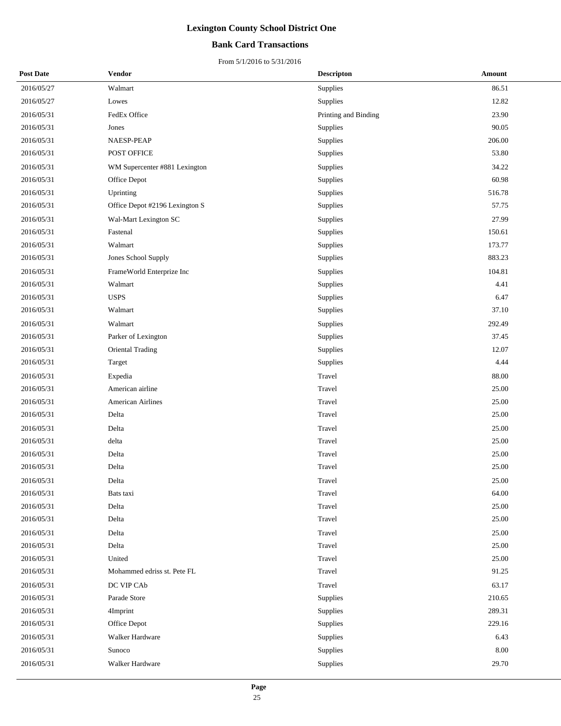### **Bank Card Transactions**

| <b>Post Date</b> | Vendor                         | <b>Descripton</b>    | Amount |
|------------------|--------------------------------|----------------------|--------|
| 2016/05/27       | Walmart                        | Supplies             | 86.51  |
| 2016/05/27       | Lowes                          | Supplies             | 12.82  |
| 2016/05/31       | FedEx Office                   | Printing and Binding | 23.90  |
| 2016/05/31       | Jones                          | Supplies             | 90.05  |
| 2016/05/31       | NAESP-PEAP                     | Supplies             | 206.00 |
| 2016/05/31       | POST OFFICE                    | Supplies             | 53.80  |
| 2016/05/31       | WM Supercenter #881 Lexington  | Supplies             | 34.22  |
| 2016/05/31       | Office Depot                   | Supplies             | 60.98  |
| 2016/05/31       | Uprinting                      | Supplies             | 516.78 |
| 2016/05/31       | Office Depot #2196 Lexington S | Supplies             | 57.75  |
| 2016/05/31       | Wal-Mart Lexington SC          | Supplies             | 27.99  |
| 2016/05/31       | Fastenal                       | Supplies             | 150.61 |
| 2016/05/31       | Walmart                        | Supplies             | 173.77 |
| 2016/05/31       | Jones School Supply            | <b>Supplies</b>      | 883.23 |
| 2016/05/31       | FrameWorld Enterprize Inc      | Supplies             | 104.81 |
| 2016/05/31       | Walmart                        | Supplies             | 4.41   |
| 2016/05/31       | <b>USPS</b>                    | Supplies             | 6.47   |
| 2016/05/31       | Walmart                        | Supplies             | 37.10  |
| 2016/05/31       | Walmart                        | Supplies             | 292.49 |
| 2016/05/31       | Parker of Lexington            | Supplies             | 37.45  |
| 2016/05/31       | <b>Oriental Trading</b>        | Supplies             | 12.07  |
| 2016/05/31       | Target                         | Supplies             | 4.44   |
| 2016/05/31       | Expedia                        | Travel               | 88.00  |
| 2016/05/31       | American airline               | Travel               | 25.00  |
| 2016/05/31       | American Airlines              | Travel               | 25.00  |
| 2016/05/31       | Delta                          | Travel               | 25.00  |
| 2016/05/31       | Delta                          | Travel               | 25.00  |
| 2016/05/31       | delta                          | Travel               | 25.00  |
| 2016/05/31       | Delta                          | Travel               | 25.00  |
| 2016/05/31       | Delta                          | Travel               | 25.00  |
| 2016/05/31       | Delta                          | Travel               | 25.00  |
| 2016/05/31       | Bats taxi                      | Travel               | 64.00  |
| 2016/05/31       | Delta                          | Travel               | 25.00  |
| 2016/05/31       | Delta                          | Travel               | 25.00  |
| 2016/05/31       | Delta                          | Travel               | 25.00  |
| 2016/05/31       | Delta                          | Travel               | 25.00  |
| 2016/05/31       | United                         | Travel               | 25.00  |
| 2016/05/31       | Mohammed edriss st. Pete FL    | Travel               | 91.25  |
| 2016/05/31       | DC VIP CAb                     | Travel               | 63.17  |
| 2016/05/31       | Parade Store                   | Supplies             | 210.65 |
| 2016/05/31       | 4Imprint                       | Supplies             | 289.31 |
| 2016/05/31       | Office Depot                   | Supplies             | 229.16 |
| 2016/05/31       | Walker Hardware                | Supplies             | 6.43   |
| 2016/05/31       | Sunoco                         | Supplies             | 8.00   |
| 2016/05/31       | Walker Hardware                | Supplies             | 29.70  |
|                  |                                |                      |        |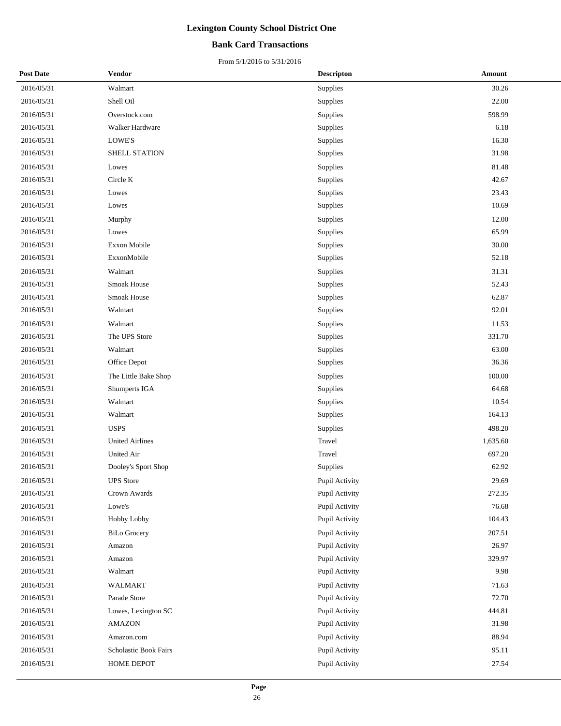### **Bank Card Transactions**

| <b>Post Date</b> | Vendor                 | <b>Descripton</b> | Amount   |
|------------------|------------------------|-------------------|----------|
| 2016/05/31       | Walmart                | Supplies          | 30.26    |
| 2016/05/31       | Shell Oil              | Supplies          | 22.00    |
| 2016/05/31       | Overstock.com          | Supplies          | 598.99   |
| 2016/05/31       | Walker Hardware        | Supplies          | 6.18     |
| 2016/05/31       | LOWE'S                 | Supplies          | 16.30    |
| 2016/05/31       | SHELL STATION          | Supplies          | 31.98    |
| 2016/05/31       | Lowes                  | Supplies          | 81.48    |
| 2016/05/31       | Circle K               | Supplies          | 42.67    |
| 2016/05/31       | Lowes                  | Supplies          | 23.43    |
| 2016/05/31       | Lowes                  | Supplies          | 10.69    |
| 2016/05/31       | Murphy                 | Supplies          | 12.00    |
| 2016/05/31       | Lowes                  | Supplies          | 65.99    |
| 2016/05/31       | Exxon Mobile           | Supplies          | 30.00    |
| 2016/05/31       | ExxonMobile            | Supplies          | 52.18    |
| 2016/05/31       | Walmart                | Supplies          | 31.31    |
| 2016/05/31       | Smoak House            | Supplies          | 52.43    |
| 2016/05/31       | Smoak House            | Supplies          | 62.87    |
| 2016/05/31       | Walmart                | Supplies          | 92.01    |
| 2016/05/31       | Walmart                | Supplies          | 11.53    |
| 2016/05/31       | The UPS Store          | Supplies          | 331.70   |
| 2016/05/31       | Walmart                | Supplies          | 63.00    |
| 2016/05/31       | Office Depot           | Supplies          | 36.36    |
| 2016/05/31       | The Little Bake Shop   | Supplies          | 100.00   |
| 2016/05/31       | Shumperts IGA          | Supplies          | 64.68    |
| 2016/05/31       | Walmart                | Supplies          | 10.54    |
| 2016/05/31       | Walmart                | Supplies          | 164.13   |
| 2016/05/31       | <b>USPS</b>            | Supplies          | 498.20   |
| 2016/05/31       | <b>United Airlines</b> | Travel            | 1,635.60 |
| 2016/05/31       | <b>United Air</b>      | Travel            | 697.20   |
| 2016/05/31       | Dooley's Sport Shop    | Supplies          | 62.92    |
| 2016/05/31       | <b>UPS</b> Store       | Pupil Activity    | 29.69    |
| 2016/05/31       | Crown Awards           | Pupil Activity    | 272.35   |
| 2016/05/31       | Lowe's                 | Pupil Activity    | 76.68    |
| 2016/05/31       | Hobby Lobby            | Pupil Activity    | 104.43   |
| 2016/05/31       | <b>BiLo Grocery</b>    | Pupil Activity    | 207.51   |
| 2016/05/31       | Amazon                 | Pupil Activity    | 26.97    |
| 2016/05/31       | Amazon                 | Pupil Activity    | 329.97   |
| 2016/05/31       | Walmart                | Pupil Activity    | 9.98     |
| 2016/05/31       | WALMART                | Pupil Activity    | 71.63    |
| 2016/05/31       | Parade Store           | Pupil Activity    | 72.70    |
| 2016/05/31       | Lowes, Lexington SC    | Pupil Activity    | 444.81   |
| 2016/05/31       | AMAZON                 | Pupil Activity    | 31.98    |
| 2016/05/31       | Amazon.com             | Pupil Activity    | 88.94    |
| 2016/05/31       | Scholastic Book Fairs  | Pupil Activity    | 95.11    |
| 2016/05/31       | HOME DEPOT             | Pupil Activity    | 27.54    |
|                  |                        |                   |          |